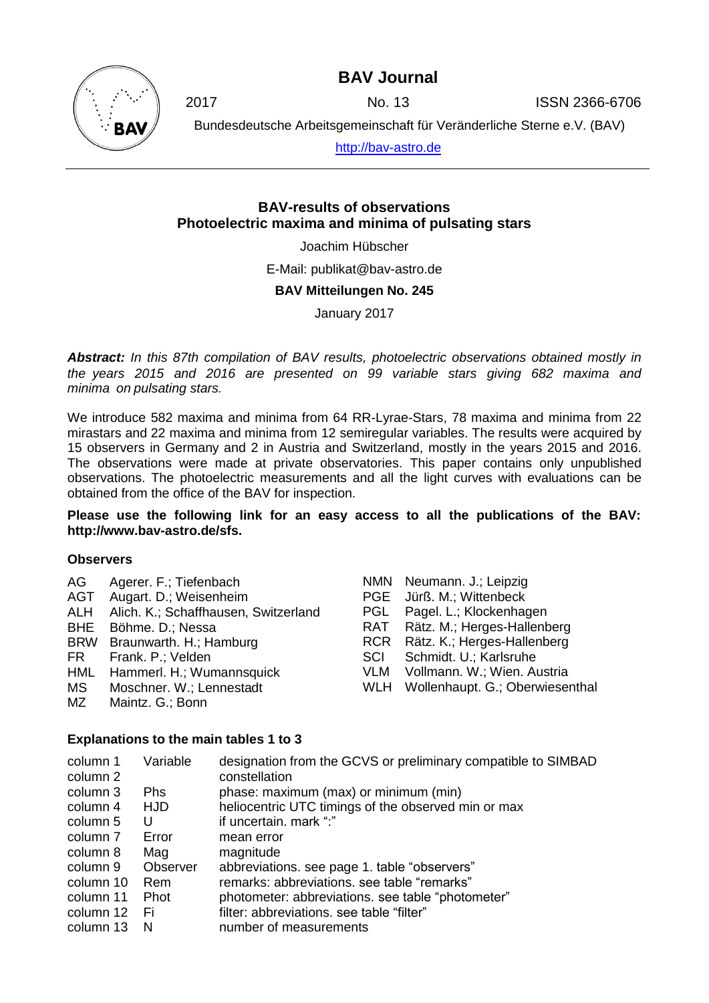### **BAV Journal**



2017 No. 13 ISSN 2366-6706

Bundesdeutsche Arbeitsgemeinschaft für Veränderliche Sterne e.V. (BAV)

[http://bav-astro.de](http://bav-astro.de/)

### **BAV-results of observations Photoelectric maxima and minima of pulsating stars**

Joachim Hübscher

E-Mail: publikat@bav-astro.de

#### **BAV Mitteilungen No. 245**

January 2017

*Abstract: In this 87th compilation of BAV results, photoelectric observations obtained mostly in the years 2015 and 2016 are presented on 99 variable stars giving 682 maxima and minima on pulsating stars.*

We introduce 582 maxima and minima from 64 RR-Lyrae-Stars, 78 maxima and minima from 22 mirastars and 22 maxima and minima from 12 semiregular variables. The results were acquired by 15 observers in Germany and 2 in Austria and Switzerland, mostly in the years 2015 and 2016. The observations were made at private observatories. This paper contains only unpublished observations. The photoelectric measurements and all the light curves with evaluations can be obtained from the office of the BAV for inspection.

**Please use the following link for an easy access to all the publications of the BAV: http://www.bav-astro.de/sfs.**

#### **Observers**

| AG.  | Agerer. F.; Tiefenbach                   |            | NMN Neumann. J.; Leipzig        |
|------|------------------------------------------|------------|---------------------------------|
|      | AGT Augart. D.; Weisenheim               |            | PGE Jürß. M.; Wittenbeck        |
|      | ALH Alich. K.; Schaffhausen, Switzerland |            | PGL Pagel. L.; Klockenhagen     |
|      | BHE Böhme. D.; Nessa                     |            | RAT Rätz. M.; Herges-Hallenberg |
|      | BRW Braunwarth. H.; Hamburg              |            | RCR Rätz. K.; Herges-Hallenberg |
| FR F | Frank. P.; Velden                        | <b>SCI</b> | Schmidt. U.; Karlsruhe          |
|      | HML Hammerl. H.; Wumannsquick            |            | VLM Vollmann. W.; Wien. Austria |
| MS.  | Moschner. W.; Lennestadt                 | WLH        | Wollenhaupt. G.; Oberwiesenthal |
| MZ   | Maintz. G.; Bonn                         |            |                                 |

#### **Explanations to the main tables 1 to 3**

| column 1<br>column 2 | Variable   | designation from the GCVS or preliminary compatible to SIMBAD<br>constellation |
|----------------------|------------|--------------------------------------------------------------------------------|
| column 3             | <b>Phs</b> | phase: maximum (max) or minimum (min)                                          |
| column 4             | <b>HJD</b> | heliocentric UTC timings of the observed min or max                            |
| column 5             | U          | if uncertain. mark ":"                                                         |
| column 7             | Error      | mean error                                                                     |
| column 8             | Mag        | magnitude                                                                      |
| column 9             | Observer   | abbreviations. see page 1. table "observers"                                   |
| column 10            | Rem        | remarks: abbreviations, see table "remarks"                                    |
| column 11            | Phot       | photometer: abbreviations. see table "photometer"                              |
| column 12            | - Fi       | filter: abbreviations, see table "filter"                                      |
| column 13            | N          | number of measurements                                                         |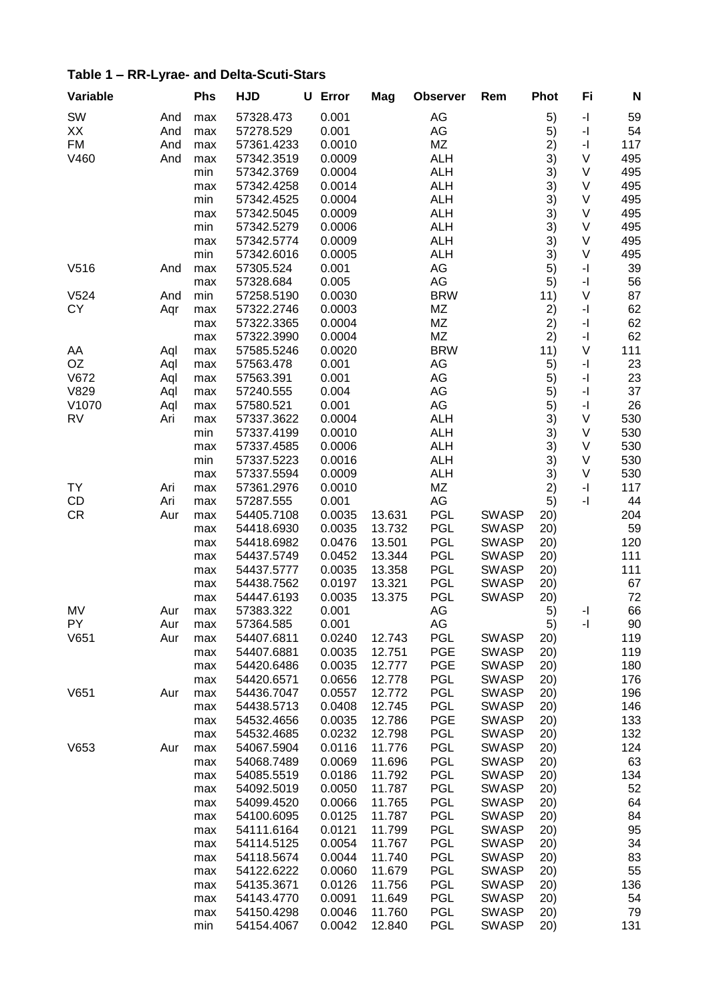| Variable         |     | Phs        | <b>HJD</b> | U | Error  | Mag    | <b>Observer</b> | Rem          | <b>Phot</b> | Fi                                          | N   |
|------------------|-----|------------|------------|---|--------|--------|-----------------|--------------|-------------|---------------------------------------------|-----|
| SW               | And | max        | 57328.473  |   | 0.001  |        | AG              |              | 5)          | $\mathord{\text{-}} \mathord{\text{\rm l}}$ | 59  |
| XX               | And | max        | 57278.529  |   | 0.001  |        | AG              |              | 5)          | $\mathord{\text{-}} \mathord{\text{\rm l}}$ | 54  |
| <b>FM</b>        | And | max        | 57361.4233 |   | 0.0010 |        | MZ              |              | 2)          | $\mathord{\text{-}} \mathord{\text{\rm l}}$ | 117 |
| V460             | And | max        | 57342.3519 |   | 0.0009 |        | <b>ALH</b>      |              | 3)          | V                                           | 495 |
|                  |     | min        | 57342.3769 |   | 0.0004 |        | <b>ALH</b>      |              | 3)          | V                                           | 495 |
|                  |     | max        | 57342.4258 |   | 0.0014 |        | <b>ALH</b>      |              | 3)          | V                                           | 495 |
|                  |     | min        | 57342.4525 |   | 0.0004 |        | <b>ALH</b>      |              | 3)          | V                                           | 495 |
|                  |     | max        | 57342.5045 |   | 0.0009 |        | <b>ALH</b>      |              | 3)          | V                                           | 495 |
|                  |     | min        | 57342.5279 |   | 0.0006 |        | <b>ALH</b>      |              | 3)          | V                                           | 495 |
|                  |     | max        | 57342.5774 |   | 0.0009 |        | <b>ALH</b>      |              | 3)          | V                                           | 495 |
|                  |     | min        | 57342.6016 |   | 0.0005 |        | <b>ALH</b>      |              | 3)          | V                                           | 495 |
| V516             | And | max        | 57305.524  |   | 0.001  |        | AG              |              | 5)          | -1                                          | 39  |
|                  |     | max        | 57328.684  |   | 0.005  |        | AG              |              | 5)          | $\mathbf{I}$                                | 56  |
| V <sub>524</sub> | And | min        | 57258.5190 |   | 0.0030 |        | <b>BRW</b>      |              | 11)         | V                                           | 87  |
| CY               | Aqr | max        | 57322.2746 |   | 0.0003 |        | MZ              |              | 2)          | $\mathord{\text{-}} \mathord{\text{\rm l}}$ | 62  |
|                  |     | max        | 57322.3365 |   | 0.0004 |        | MZ              |              | 2)          | $\mathbf{-}$                                | 62  |
|                  |     | max        | 57322.3990 |   | 0.0004 |        | MZ              |              | 2)          | -1                                          | 62  |
| AA               | Aql | max        | 57585.5246 |   | 0.0020 |        | <b>BRW</b>      |              | 11)         | V                                           | 111 |
| <b>OZ</b>        | Aql | max        | 57563.478  |   | 0.001  |        | AG              |              | 5)          | $\mathord{\text{-}} \mathord{\text{\rm l}}$ | 23  |
| V672             | Aql | max        | 57563.391  |   | 0.001  |        | AG              |              | 5)          | $\mathord{\text{-}} \mathord{\text{\rm l}}$ | 23  |
| V829             | Aql | max        | 57240.555  |   | 0.004  |        | AG              |              | 5)          | $\mathord{\text{-}} \mathord{\text{\rm l}}$ | 37  |
| V1070            | Aql | max        | 57580.521  |   | 0.001  |        | AG              |              | 5)          | -1                                          | 26  |
| RV               | Ari | max        | 57337.3622 |   | 0.0004 |        | <b>ALH</b>      |              | 3)          | V                                           | 530 |
|                  |     | min        | 57337.4199 |   | 0.0010 |        | <b>ALH</b>      |              | 3)          | V                                           | 530 |
|                  |     |            | 57337.4585 |   | 0.0006 |        | <b>ALH</b>      |              | 3)          | V                                           | 530 |
|                  |     | max<br>min | 57337.5223 |   | 0.0016 |        | ALH             |              | 3)          | V                                           | 530 |
|                  |     |            | 57337.5594 |   | 0.0009 |        | <b>ALH</b>      |              | 3)          | V                                           | 530 |
|                  |     | max        |            |   |        |        |                 |              |             |                                             |     |
| TY               | Ari | max        | 57361.2976 |   | 0.0010 |        | MZ              |              | 2)          | -1                                          | 117 |
| CD               | Ari | max        | 57287.555  |   | 0.001  |        | AG              |              | 5)          | -1                                          | 44  |
| <b>CR</b>        | Aur | max        | 54405.7108 |   | 0.0035 | 13.631 | <b>PGL</b>      | <b>SWASP</b> | 20)         |                                             | 204 |
|                  |     | max        | 54418.6930 |   | 0.0035 | 13.732 | <b>PGL</b>      | <b>SWASP</b> | 20)         |                                             | 59  |
|                  |     | max        | 54418.6982 |   | 0.0476 | 13.501 | <b>PGL</b>      | <b>SWASP</b> | (20)        |                                             | 120 |
|                  |     | max        | 54437.5749 |   | 0.0452 | 13.344 | <b>PGL</b>      | <b>SWASP</b> | 20)         |                                             | 111 |
|                  |     | max        | 54437.5777 |   | 0.0035 | 13.358 | <b>PGL</b>      | <b>SWASP</b> | 20)         |                                             | 111 |
|                  |     | max        | 54438.7562 |   | 0.0197 | 13.321 | <b>PGL</b>      | <b>SWASP</b> | 20)         |                                             | 67  |
|                  |     | max        | 54447.6193 |   | 0.0035 | 13.375 | <b>PGL</b>      | <b>SWASP</b> | 20)         |                                             | 72  |
| MV               | Aur | max        | 57383.322  |   | 0.001  |        | AG              |              | 5)          | -1                                          | 66  |
| PY               | Aur | max        | 57364.585  |   | 0.001  |        | AG              |              | 5)          | -1                                          | 90  |
| V651             | Aur | max        | 54407.6811 |   | 0.0240 | 12.743 | <b>PGL</b>      | <b>SWASP</b> | (20)        |                                             | 119 |
|                  |     | max        | 54407.6881 |   | 0.0035 | 12.751 | <b>PGE</b>      | <b>SWASP</b> | 20)         |                                             | 119 |
|                  |     | max        | 54420.6486 |   | 0.0035 | 12.777 | <b>PGE</b>      | <b>SWASP</b> | 20)         |                                             | 180 |
|                  |     | max        | 54420.6571 |   | 0.0656 | 12.778 | <b>PGL</b>      | <b>SWASP</b> | (20)        |                                             | 176 |
| V651             | Aur | max        | 54436.7047 |   | 0.0557 | 12.772 | <b>PGL</b>      | <b>SWASP</b> | 20)         |                                             | 196 |
|                  |     | max        | 54438.5713 |   | 0.0408 | 12.745 | <b>PGL</b>      | <b>SWASP</b> | 20)         |                                             | 146 |
|                  |     | max        | 54532.4656 |   | 0.0035 | 12.786 | <b>PGE</b>      | <b>SWASP</b> | (20)        |                                             | 133 |
|                  |     | max        | 54532.4685 |   | 0.0232 | 12.798 | <b>PGL</b>      | <b>SWASP</b> | (20)        |                                             | 132 |
| V653             | Aur | max        | 54067.5904 |   | 0.0116 | 11.776 | <b>PGL</b>      | <b>SWASP</b> | 20)         |                                             | 124 |
|                  |     | max        | 54068.7489 |   | 0.0069 | 11.696 | <b>PGL</b>      | <b>SWASP</b> | 20)         |                                             | 63  |
|                  |     | max        | 54085.5519 |   | 0.0186 | 11.792 | <b>PGL</b>      | <b>SWASP</b> | 20)         |                                             | 134 |
|                  |     | max        | 54092.5019 |   | 0.0050 | 11.787 | <b>PGL</b>      | <b>SWASP</b> | 20)         |                                             | 52  |
|                  |     | max        | 54099.4520 |   | 0.0066 | 11.765 | <b>PGL</b>      | <b>SWASP</b> | 20)         |                                             | 64  |
|                  |     | max        | 54100.6095 |   | 0.0125 | 11.787 | <b>PGL</b>      | <b>SWASP</b> | 20)         |                                             | 84  |
|                  |     | max        | 54111.6164 |   | 0.0121 | 11.799 | <b>PGL</b>      | <b>SWASP</b> | 20)         |                                             | 95  |
|                  |     | max        | 54114.5125 |   | 0.0054 | 11.767 | <b>PGL</b>      | <b>SWASP</b> | 20)         |                                             | 34  |
|                  |     | max        | 54118.5674 |   | 0.0044 | 11.740 | <b>PGL</b>      | <b>SWASP</b> | 20)         |                                             | 83  |
|                  |     | max        | 54122.6222 |   | 0.0060 | 11.679 | <b>PGL</b>      | <b>SWASP</b> | 20)         |                                             | 55  |
|                  |     | max        | 54135.3671 |   | 0.0126 | 11.756 | <b>PGL</b>      | <b>SWASP</b> | 20)         |                                             | 136 |
|                  |     | max        | 54143.4770 |   | 0.0091 | 11.649 | <b>PGL</b>      | <b>SWASP</b> | 20)         |                                             | 54  |
|                  |     | max        | 54150.4298 |   | 0.0046 | 11.760 | <b>PGL</b>      | <b>SWASP</b> | (20)        |                                             | 79  |
|                  |     | min        | 54154.4067 |   | 0.0042 | 12.840 | <b>PGL</b>      | <b>SWASP</b> | 20)         |                                             | 131 |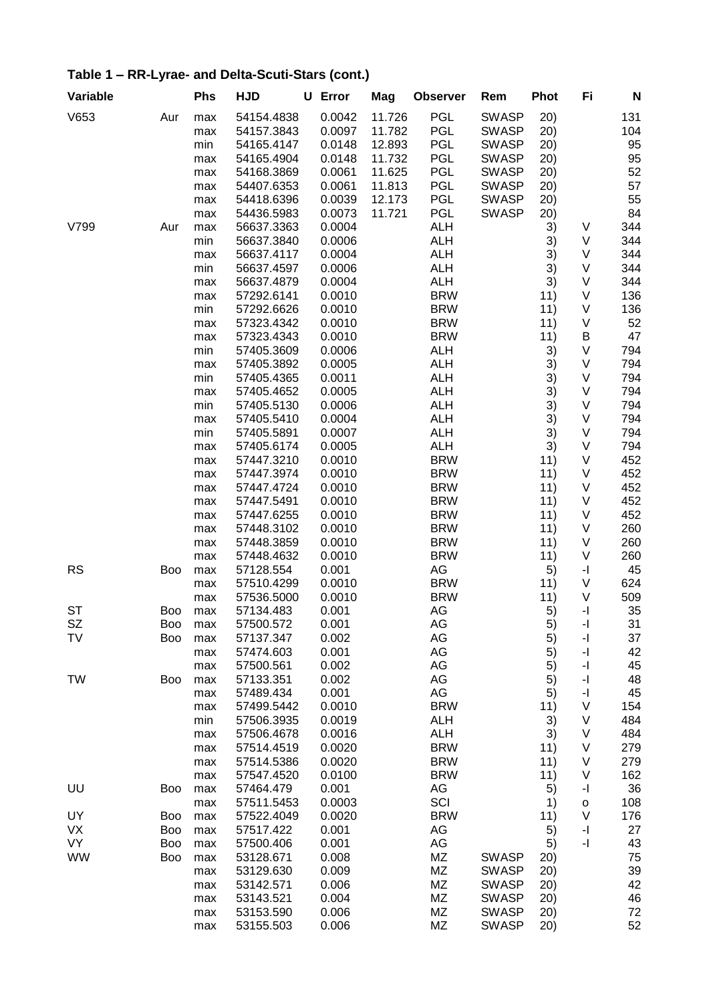| Variable  |     | <b>Phs</b> | <b>HJD</b>               | U Error          | Mag    | <b>Observer</b>          | Rem          | <b>Phot</b> | Fi                       | N          |
|-----------|-----|------------|--------------------------|------------------|--------|--------------------------|--------------|-------------|--------------------------|------------|
| V653      | Aur | max        | 54154.4838               | 0.0042           | 11.726 | <b>PGL</b>               | <b>SWASP</b> | 20)         |                          | 131        |
|           |     | max        | 54157.3843               | 0.0097           | 11.782 | <b>PGL</b>               | <b>SWASP</b> | 20)         |                          | 104        |
|           |     | min        | 54165.4147               | 0.0148           | 12.893 | <b>PGL</b>               | <b>SWASP</b> | 20)         |                          | 95         |
|           |     | max        | 54165.4904               | 0.0148           | 11.732 | <b>PGL</b>               | <b>SWASP</b> | 20)         |                          | 95         |
|           |     | max        | 54168.3869               | 0.0061           | 11.625 | <b>PGL</b>               | <b>SWASP</b> | 20)         |                          | 52         |
|           |     | max        | 54407.6353               | 0.0061           | 11.813 | <b>PGL</b>               | <b>SWASP</b> | 20)         |                          | 57         |
|           |     | max        | 54418.6396               | 0.0039           | 12.173 | <b>PGL</b>               | <b>SWASP</b> | 20)         |                          | 55         |
|           |     | max        | 54436.5983               | 0.0073           | 11.721 | <b>PGL</b>               | <b>SWASP</b> | 20)         |                          | 84         |
| V799      | Aur | max        | 56637.3363               | 0.0004           |        | <b>ALH</b>               |              | 3)          | V                        | 344        |
|           |     | min        | 56637.3840               | 0.0006           |        | <b>ALH</b>               |              | 3)          | V                        | 344        |
|           |     | max        | 56637.4117               | 0.0004           |        | <b>ALH</b>               |              | 3)          | V                        | 344        |
|           |     | min        | 56637.4597               | 0.0006<br>0.0004 |        | <b>ALH</b><br><b>ALH</b> |              | 3)          | V                        | 344        |
|           |     | max        | 56637.4879<br>57292.6141 | 0.0010           |        | <b>BRW</b>               |              | 3)<br>11)   | V<br>V                   | 344<br>136 |
|           |     | max<br>min | 57292.6626               | 0.0010           |        | <b>BRW</b>               |              | 11)         | V                        | 136        |
|           |     | max        | 57323.4342               | 0.0010           |        | <b>BRW</b>               |              | 11)         | V                        | 52         |
|           |     | max        | 57323.4343               | 0.0010           |        | <b>BRW</b>               |              | 11)         | B                        | 47         |
|           |     | min        | 57405.3609               | 0.0006           |        | <b>ALH</b>               |              | 3)          | V                        | 794        |
|           |     | max        | 57405.3892               | 0.0005           |        | <b>ALH</b>               |              | 3)          | V                        | 794        |
|           |     | min        | 57405.4365               | 0.0011           |        | <b>ALH</b>               |              | 3)          | V                        | 794        |
|           |     | max        | 57405.4652               | 0.0005           |        | <b>ALH</b>               |              | 3)          | V                        | 794        |
|           |     | min        | 57405.5130               | 0.0006           |        | <b>ALH</b>               |              | 3)          | V                        | 794        |
|           |     | max        | 57405.5410               | 0.0004           |        | <b>ALH</b>               |              | 3)          | V                        | 794        |
|           |     | min        | 57405.5891               | 0.0007           |        | <b>ALH</b>               |              | 3)          | V                        | 794        |
|           |     | max        | 57405.6174               | 0.0005           |        | <b>ALH</b>               |              | 3)          | V                        | 794        |
|           |     | max        | 57447.3210               | 0.0010           |        | <b>BRW</b>               |              | 11)         | V                        | 452        |
|           |     | max        | 57447.3974               | 0.0010           |        | <b>BRW</b>               |              | 11)         | V                        | 452        |
|           |     | max        | 57447.4724               | 0.0010           |        | <b>BRW</b>               |              | 11)         | V                        | 452        |
|           |     | max        | 57447.5491               | 0.0010           |        | <b>BRW</b>               |              | 11)         | V                        | 452        |
|           |     | max        | 57447.6255               | 0.0010           |        | <b>BRW</b>               |              | 11)         | V                        | 452        |
|           |     | max        | 57448.3102               | 0.0010           |        | <b>BRW</b>               |              | 11)         | V                        | 260        |
|           |     | max        | 57448.3859               | 0.0010           |        | <b>BRW</b>               |              | 11)         | V                        | 260        |
|           |     | max        | 57448.4632               | 0.0010           |        | <b>BRW</b>               |              | 11)         | V                        | 260        |
| <b>RS</b> | Boo | max        | 57128.554                | 0.001            |        | AG                       |              | 5)          | -1                       | 45         |
|           |     | max        | 57510.4299               | 0.0010           |        | <b>BRW</b>               |              | 11)         | V                        | 624        |
|           |     | max        | 57536.5000               | 0.0010           |        | <b>BRW</b>               |              | 11)         | V                        | 509        |
| <b>ST</b> | Boo | max        | 57134.483                | 0.001            |        | AG                       |              | 5)          | -1                       | 35         |
| SZ        | Boo | max        | 57500.572                | 0.001            |        | AG                       |              | 5)          | -1                       | 31         |
| TV        | Boo | max        | 57137.347                | 0.002            |        | AG                       |              | 5)          | -1                       | 37         |
|           |     | max        | 57474.603                | 0.001            |        | AG                       |              | 5)          | -1                       | 42         |
|           |     | max        | 57500.561                | 0.002            |        | AG                       |              | 5)          | -1                       | 45         |
| TW        | Boo | max        | 57133.351                | 0.002            |        | AG                       |              | 5)          | -1                       | 48         |
|           |     | max        | 57489.434                | 0.001            |        | AG                       |              | 5)          | -1                       | 45         |
|           |     | max        | 57499.5442               | 0.0010           |        | <b>BRW</b>               |              | 11)         | V<br>V                   | 154<br>484 |
|           |     | min        | 57506.3935<br>57506.4678 | 0.0019<br>0.0016 |        | <b>ALH</b><br><b>ALH</b> |              | 3)          | V                        | 484        |
|           |     | max        | 57514.4519               | 0.0020           |        | <b>BRW</b>               |              | 3)<br>11)   | V                        | 279        |
|           |     | max<br>max | 57514.5386               | 0.0020           |        | <b>BRW</b>               |              | 11)         | V                        | 279        |
|           |     | max        | 57547.4520               | 0.0100           |        | <b>BRW</b>               |              | 11)         | V                        | 162        |
| UU        | Boo | max        | 57464.479                | 0.001            |        | AG                       |              | 5)          | -1                       | 36         |
|           |     | max        | 57511.5453               | 0.0003           |        | SCI                      |              | 1)          | o                        | 108        |
| UY        | Boo | max        | 57522.4049               | 0.0020           |        | <b>BRW</b>               |              | 11)         | V                        | 176        |
| VX        | Boo | max        | 57517.422                | 0.001            |        | AG                       |              | 5)          | -1                       | 27         |
| VY        | Boo | max        | 57500.406                | 0.001            |        | AG                       |              | 5)          | $\overline{\phantom{a}}$ | 43         |
| WW        | Boo | max        | 53128.671                | 0.008            |        | MZ                       | <b>SWASP</b> | 20)         |                          | 75         |
|           |     | max        | 53129.630                | 0.009            |        | MZ                       | <b>SWASP</b> | 20)         |                          | 39         |
|           |     | max        | 53142.571                | 0.006            |        | MZ                       | <b>SWASP</b> | 20)         |                          | 42         |
|           |     | max        | 53143.521                | 0.004            |        | MZ                       | <b>SWASP</b> | 20)         |                          | 46         |
|           |     | max        | 53153.590                | 0.006            |        | MZ                       | <b>SWASP</b> | 20)         |                          | 72         |
|           |     | max        | 53155.503                | 0.006            |        | MZ                       | <b>SWASP</b> | (20)        |                          | 52         |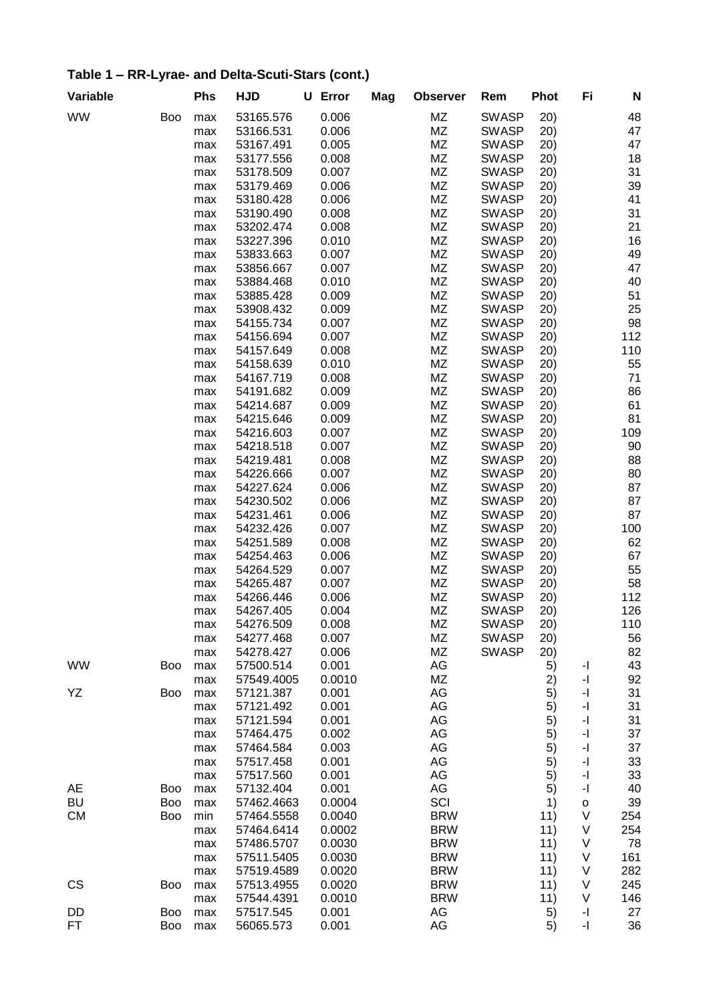| Variable  |            | Phs        | <b>HJD</b>             | <b>U</b> Error | Mag | <b>Observer</b> | Rem                          | <b>Phot</b> | Fi           | N        |
|-----------|------------|------------|------------------------|----------------|-----|-----------------|------------------------------|-------------|--------------|----------|
| <b>WW</b> | <b>Boo</b> | max        | 53165.576              | 0.006          |     | ΜZ              | <b>SWASP</b>                 | 20)         |              | 48       |
|           |            | max        | 53166.531              | 0.006          |     | MZ              | <b>SWASP</b>                 | 20)         |              | 47       |
|           |            | max        | 53167.491              | 0.005          |     | MZ              | <b>SWASP</b>                 | 20)         |              | 47       |
|           |            | max        | 53177.556              | 0.008          |     | ΜZ              | <b>SWASP</b>                 | 20)         |              | 18       |
|           |            | max        | 53178.509              | 0.007          |     | ΜZ              | <b>SWASP</b>                 | 20)         |              | 31       |
|           |            | max        | 53179.469              | 0.006          |     | ΜZ              | <b>SWASP</b>                 | 20)         |              | 39       |
|           |            | max        | 53180.428              | 0.006          |     | ΜZ              | <b>SWASP</b>                 | (20)        |              | 41       |
|           |            | max        | 53190.490              | 0.008          |     | ΜZ              | <b>SWASP</b>                 | 20)         |              | 31       |
|           |            | max        | 53202.474              | 0.008          |     | ΜZ              | <b>SWASP</b>                 | 20)         |              | 21       |
|           |            | max        | 53227.396              | 0.010          |     | ΜZ              | <b>SWASP</b>                 | 20)         |              | 16       |
|           |            | max        | 53833.663              | 0.007          |     | MZ              | <b>SWASP</b>                 | 20)         |              | 49       |
|           |            | max        | 53856.667              | 0.007          |     | MZ              | <b>SWASP</b>                 | (20)        |              | 47       |
|           |            | max        | 53884.468              | 0.010          |     | MZ              | <b>SWASP</b>                 | (20)        |              | 40       |
|           |            | max        | 53885.428              | 0.009          |     | MZ              | <b>SWASP</b>                 | 20)         |              | 51       |
|           |            | max        | 53908.432              | 0.009          |     | MZ              | <b>SWASP</b>                 | 20)         |              | 25       |
|           |            | max        | 54155.734              | 0.007          |     | MZ              | <b>SWASP</b>                 | 20)         |              | 98       |
|           |            | max        | 54156.694              | 0.007          |     | ΜZ              | <b>SWASP</b>                 | 20)         |              | 112      |
|           |            | max        | 54157.649              | 0.008          |     | ΜZ              | <b>SWASP</b>                 | 20)         |              | 110      |
|           |            | max        | 54158.639              | 0.010          |     | ΜZ              | <b>SWASP</b>                 | 20)         |              | 55       |
|           |            | max        | 54167.719              | 0.008          |     | ΜZ              | <b>SWASP</b>                 | 20)         |              | 71       |
|           |            | max        | 54191.682              | 0.009          |     | ΜZ              | <b>SWASP</b>                 | 20)         |              | 86       |
|           |            | max        | 54214.687              | 0.009          |     | MZ              | <b>SWASP</b>                 | 20)         |              | 61       |
|           |            | max        | 54215.646              | 0.009          |     | MZ              | <b>SWASP</b>                 | 20)         |              | 81       |
|           |            | max        | 54216.603              | 0.007          |     | MZ              | <b>SWASP</b>                 | (20)        |              | 109      |
|           |            | max        | 54218.518              | 0.007          |     | MZ              | <b>SWASP</b>                 | (20)        |              | 90       |
|           |            | max        | 54219.481              | 0.008          |     | ΜZ              | <b>SWASP</b>                 | 20)         |              | 88       |
|           |            | max        | 54226.666              | 0.007          |     | MZ              | <b>SWASP</b>                 | 20)         |              | 80       |
|           |            | max        | 54227.624              | 0.006          |     | MZ              | <b>SWASP</b>                 | 20)         |              | 87       |
|           |            | max        | 54230.502              | 0.006          |     | ΜZ              | <b>SWASP</b>                 | 20)         |              | 87       |
|           |            | max        | 54231.461              | 0.006          |     | ΜZ              | <b>SWASP</b>                 | 20)         |              | 87       |
|           |            | max        | 54232.426              | 0.007          |     | ΜZ              | <b>SWASP</b>                 | (20)        |              | 100      |
|           |            | max        | 54251.589              | 0.008          |     | ΜZ              | <b>SWASP</b>                 | 20)         |              | 62       |
|           |            | max        | 54254.463              | 0.006          |     | ΜZ              | <b>SWASP</b>                 | 20)         |              | 67       |
|           |            | max        | 54264.529<br>54265.487 | 0.007          |     | ΜZ              | <b>SWASP</b>                 | 20)         |              | 55<br>58 |
|           |            | max        | 54266.446              | 0.007<br>0.006 |     | MZ<br>MZ        | <b>SWASP</b><br><b>SWASP</b> | 20)         |              | 112      |
|           |            | max        | 54267.405              | 0.004          |     | MZ              | <b>SWASP</b>                 | 20)<br>20)  |              | 126      |
|           |            | max<br>max | 54276.509              | 0.008          |     | MZ              | <b>SWASP</b>                 | 20)         |              | 110      |
|           |            |            | 54277.468              | 0.007          |     | ΜZ              | <b>SWASP</b>                 | 20)         |              | 56       |
|           |            | max<br>max | 54278.427              | 0.006          |     | MZ              | <b>SWASP</b>                 | 20)         |              | 82       |
| <b>WW</b> | <b>Boo</b> | max        | 57500.514              | 0.001          |     | AG              |                              | 5)          | -1           | 43       |
|           |            | max        | 57549.4005             | 0.0010         |     | ΜZ              |                              | 2)          | -1           | 92       |
| YΖ        | Boo        | max        | 57121.387              | 0.001          |     | AG              |                              | 5)          | -1           | 31       |
|           |            | max        | 57121.492              | 0.001          |     | AG              |                              | 5)          | -1           | 31       |
|           |            | max        | 57121.594              | 0.001          |     | AG              |                              | 5)          | -1           | 31       |
|           |            | max        | 57464.475              | 0.002          |     | AG              |                              | 5)          | -1           | 37       |
|           |            | max        | 57464.584              | 0.003          |     | AG              |                              | 5)          | -1           | 37       |
|           |            | max        | 57517.458              | 0.001          |     | AG              |                              | 5)          | -1           | 33       |
|           |            | max        | 57517.560              | 0.001          |     | AG              |                              | 5)          | -1           | 33       |
| AE        | Boo        | max        | 57132.404              | 0.001          |     | AG              |                              | 5)          | -1           | 40       |
| BU        | Boo        | max        | 57462.4663             | 0.0004         |     | SCI             |                              | 1)          | $\mathsf{o}$ | 39       |
| <b>CM</b> | Boo        | min        | 57464.5558             | 0.0040         |     | <b>BRW</b>      |                              | 11)         | V            | 254      |
|           |            | max        | 57464.6414             | 0.0002         |     | <b>BRW</b>      |                              | 11)         | V            | 254      |
|           |            | max        | 57486.5707             | 0.0030         |     | <b>BRW</b>      |                              | 11)         | V            | 78       |
|           |            | max        | 57511.5405             | 0.0030         |     | <b>BRW</b>      |                              | 11)         | V            | 161      |
|           |            | max        | 57519.4589             | 0.0020         |     | <b>BRW</b>      |                              | 11)         | V            | 282      |
| CS        | Boo        | max        | 57513.4955             | 0.0020         |     | <b>BRW</b>      |                              | 11)         | V            | 245      |
|           |            | max        | 57544.4391             | 0.0010         |     | <b>BRW</b>      |                              | 11)         | V            | 146      |
| DD        | Boo        | max        | 57517.545              | 0.001          |     | AG              |                              | 5)          | -1           | 27       |
| FT        | Boo        | max        | 56065.573              | 0.001          |     | AG              |                              | 5)          | -1           | 36       |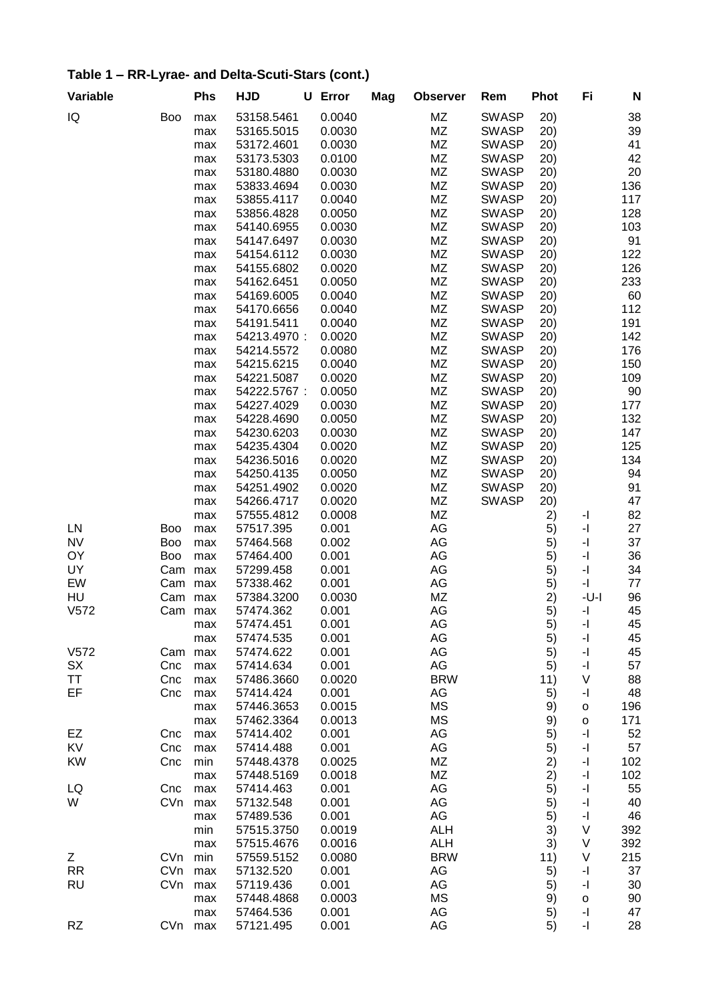| Variable  |            | Phs        | <b>HJD</b>              | U Error         | Mag | <b>Observer</b>  | Rem          | <b>Phot</b> | Fi                                               | N        |
|-----------|------------|------------|-------------------------|-----------------|-----|------------------|--------------|-------------|--------------------------------------------------|----------|
| IQ        | <b>Boo</b> | max        | 53158.5461              | 0.0040          |     | MZ               | <b>SWASP</b> | 20)         |                                                  | 38       |
|           |            | max        | 53165.5015              | 0.0030          |     | MZ               | <b>SWASP</b> | 20)         |                                                  | 39       |
|           |            | max        | 53172.4601              | 0.0030          |     | ΜZ               | <b>SWASP</b> | 20)         |                                                  | 41       |
|           |            | max        | 53173.5303              | 0.0100          |     | ΜZ               | <b>SWASP</b> | 20)         |                                                  | 42       |
|           |            | max        | 53180.4880              | 0.0030          |     | MZ               | <b>SWASP</b> | 20)         |                                                  | 20       |
|           |            | max        | 53833.4694              | 0.0030          |     | ΜZ               | <b>SWASP</b> | 20)         |                                                  | 136      |
|           |            | max        | 53855.4117              | 0.0040          |     | MZ               | <b>SWASP</b> | 20)         |                                                  | 117      |
|           |            | max        | 53856.4828              | 0.0050          |     | ΜZ               | <b>SWASP</b> | 20)         |                                                  | 128      |
|           |            | max        | 54140.6955              | 0.0030          |     | ΜZ               | <b>SWASP</b> | 20)         |                                                  | 103      |
|           |            | max        | 54147.6497              | 0.0030          |     | ΜZ               | <b>SWASP</b> | 20)         |                                                  | 91       |
|           |            | max        | 54154.6112              | 0.0030          |     | ΜZ               | <b>SWASP</b> | (20)        |                                                  | 122      |
|           |            | max        | 54155.6802              | 0.0020          |     | MZ               | <b>SWASP</b> | (20)        |                                                  | 126      |
|           |            | max        | 54162.6451              | 0.0050          |     | MZ               | <b>SWASP</b> | 20)         |                                                  | 233      |
|           |            | max        | 54169.6005              | 0.0040          |     | MZ               | <b>SWASP</b> | 20)         |                                                  | 60       |
|           |            | max        | 54170.6656              | 0.0040          |     | MZ               | <b>SWASP</b> | 20)         |                                                  | 112      |
|           |            | max        | 54191.5411              | 0.0040          |     | MZ               | <b>SWASP</b> | 20)         |                                                  | 191      |
|           |            | max        | 54213.4970:             | 0.0020          |     | MZ               | <b>SWASP</b> | 20)         |                                                  | 142      |
|           |            | max        | 54214.5572              | 0.0080          |     | ΜZ               | <b>SWASP</b> | 20)         |                                                  | 176      |
|           |            | max        | 54215.6215              | 0.0040          |     | MZ               | <b>SWASP</b> | 20)         |                                                  | 150      |
|           |            | max        | 54221.5087              | 0.0020          |     | MZ               | <b>SWASP</b> | 20)         |                                                  | 109      |
|           |            | max        | 54222.5767:             | 0.0050          |     | ΜZ               | <b>SWASP</b> | 20)         |                                                  | 90       |
|           |            | max        | 54227.4029              | 0.0030          |     | ΜZ               | <b>SWASP</b> | 20)         |                                                  | 177      |
|           |            | max        | 54228.4690              | 0.0050          |     | ΜZ               | <b>SWASP</b> | (20)        |                                                  | 132      |
|           |            | max        | 54230.6203              | 0.0030          |     | <b>MZ</b>        | <b>SWASP</b> | 20)         |                                                  | 147      |
|           |            | max        | 54235.4304              | 0.0020          |     | MZ               | <b>SWASP</b> | 20)         |                                                  | 125      |
|           |            | max        | 54236.5016              | 0.0020          |     | MZ               | <b>SWASP</b> | 20)         |                                                  | 134      |
|           |            | max        | 54250.4135              | 0.0050          |     | MZ               | <b>SWASP</b> | 20)         |                                                  | 94       |
|           |            | max        | 54251.4902              | 0.0020          |     | MZ               | <b>SWASP</b> | 20)         |                                                  | 91       |
|           |            | max        | 54266.4717              | 0.0020          |     | ΜZ               | <b>SWASP</b> | 20)         |                                                  | 47       |
|           |            | max        | 57555.4812              | 0.0008          |     | ΜZ               |              | 2)          | -1                                               | 82       |
| LN        | Boo        | max        | 57517.395               | 0.001           |     | AG               |              | 5)          | -1                                               | 27       |
| <b>NV</b> | Boo        | max        | 57464.568               | 0.002           |     | AG               |              | 5)          | -1                                               | 37       |
| OY        | <b>Boo</b> | max        | 57464.400               | 0.001           |     | AG               |              | 5)          | -1                                               | 36       |
| UY        | Cam        | max        | 57299.458               | 0.001           |     | AG               |              | 5)          | -1                                               | 34       |
| EW        | Cam        | max        | 57338.462               | 0.001           |     | AG               |              | 5)          | -1                                               | 77       |
| HU        | Cam        | max        | 57384.3200              | 0.0030          |     | MZ               |              | 2)          | -U-I                                             | 96       |
| V572      | Cam        | max        | 57474.362               | 0.001           |     | AG               |              | 5)          | -1                                               | 45       |
|           |            | max        | 57474.451               | 0.001           |     | AG               |              | 5)          | -1                                               | 45       |
|           |            | max        | 57474.535               | 0.001           |     | AG               |              | 5)          | -1                                               | 45       |
| V572      | Cam        | max        | 57474.622               | 0.001           |     | AG               |              | 5)          | -1                                               | 45       |
| SX        | Cnc        | max        | 57414.634               | 0.001           |     | AG               |              | 5)          | $\mathord{\text{-}} \mathord{\text{\rm l}}$<br>V | 57<br>88 |
| ΤT<br>EF  | Cnc        | max        | 57486.3660              | 0.0020<br>0.001 |     | <b>BRW</b><br>AG |              | 11)         |                                                  | 48       |
|           | Cnc        | max        | 57414.424<br>57446.3653 | 0.0015          |     | МS               |              | 5)          | -1                                               | 196      |
|           |            | max<br>max | 57462.3364              | 0.0013          |     | МS               |              | 9)<br>9)    | o<br>o                                           | 171      |
| EZ        | Cnc        | max        | 57414.402               | 0.001           |     | AG               |              | 5)          | -1                                               | 52       |
| KV        | Cnc        |            | 57414.488               | 0.001           |     | AG               |              |             | -1                                               | 57       |
| KW        | Cnc        | max<br>min | 57448.4378              | 0.0025          |     | MZ               |              | 5)<br>2)    | -1                                               | 102      |
|           |            | max        | 57448.5169              | 0.0018          |     | <b>MZ</b>        |              | 2)          | -1                                               | 102      |
| LQ        | Cnc        |            | 57414.463               | 0.001           |     | AG               |              | 5)          | $\mathord{\text{-}} \mathord{\text{\rm l}}$      | 55       |
| W         | CVn        | max<br>max | 57132.548               | 0.001           |     | AG               |              | 5)          | -1                                               | 40       |
|           |            | max        | 57489.536               | 0.001           |     | AG               |              | 5)          | -1                                               | 46       |
|           |            | min        | 57515.3750              | 0.0019          |     | <b>ALH</b>       |              | 3)          | V                                                | 392      |
|           |            | max        | 57515.4676              | 0.0016          |     | <b>ALH</b>       |              | 3)          | V                                                | 392      |
| Ζ         | CVn        | min        | 57559.5152              | 0.0080          |     | <b>BRW</b>       |              | 11)         | V                                                | 215      |
| <b>RR</b> | CVn        | max        | 57132.520               | 0.001           |     | AG               |              | 5)          | -1                                               | 37       |
| <b>RU</b> | CVn        | max        | 57119.436               | 0.001           |     | AG               |              | 5)          | -1                                               | 30       |
|           |            | max        | 57448.4868              | 0.0003          |     | MS               |              | 9)          | o                                                | 90       |
|           |            | max        | 57464.536               | 0.001           |     | AG               |              | 5)          | -1                                               | 47       |
| <b>RZ</b> | CVn        | max        | 57121.495               | 0.001           |     | AG               |              | 5)          | -1                                               | 28       |
|           |            |            |                         |                 |     |                  |              |             |                                                  |          |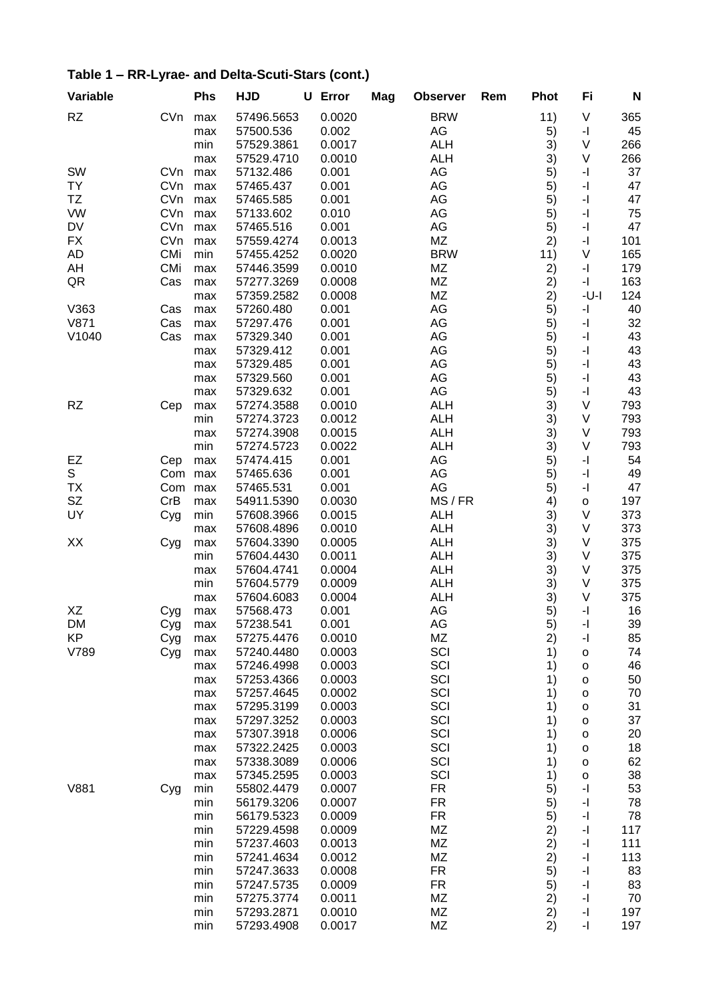|  | Table 1 – RR-Lyrae- and Delta-Scuti-Stars (cont.) |
|--|---------------------------------------------------|
|--|---------------------------------------------------|

| Variable        |            | <b>Phs</b> | <b>HJD</b>               | U Error          | Mag | <b>Observer</b>  | Rem | <b>Phot</b> | Fi                                          | N          |
|-----------------|------------|------------|--------------------------|------------------|-----|------------------|-----|-------------|---------------------------------------------|------------|
| <b>RZ</b>       | CVn        | max        | 57496.5653               | 0.0020           |     | <b>BRW</b>       |     | 11)         | V                                           | 365        |
|                 |            | max        | 57500.536                | 0.002            |     | AG               |     | 5)          | -1                                          | 45         |
|                 |            | min        | 57529.3861               | 0.0017           |     | <b>ALH</b>       |     | 3)          | V                                           | 266        |
|                 |            | max        | 57529.4710               | 0.0010           |     | <b>ALH</b>       |     | 3)          | V                                           | 266        |
| SW              | <b>CVn</b> | max        | 57132.486                | 0.001            |     | AG               |     | 5)          | $\overline{\phantom{a}}$                    | 37         |
| <b>TY</b>       | CVn        | max        | 57465.437                | 0.001            |     | AG               |     | 5)          | -1                                          | 47         |
| TZ              | CVn        | max        | 57465.585                | 0.001            |     | AG               |     | 5)          | -1                                          | 47         |
| <b>VW</b>       | CVn        | max        | 57133.602                | 0.010            |     | AG               |     | 5)          | -1                                          | 75         |
| <b>DV</b>       | CVn        | max        | 57465.516                | 0.001            |     | AG               |     | 5)          | $\mathord{\text{-}} \mathord{\text{\rm l}}$ | 47         |
| <b>FX</b>       | CVn        | max        | 57559.4274               | 0.0013           |     | ΜZ               |     | 2)          | -1                                          | 101        |
| <b>AD</b>       | <b>CMi</b> | min        | 57455.4252               | 0.0020           |     | <b>BRW</b>       |     | 11)         | V                                           | 165        |
| AH              | CMi        | max        | 57446.3599               | 0.0010<br>0.0008 |     | MZ<br>MZ         |     | 2)          | -1                                          | 179        |
| QR              | Cas        | max        | 57277.3269<br>57359.2582 | 0.0008           |     | MZ               |     | 2)<br>2)    | -1<br>$-U-I$                                | 163<br>124 |
| V363            | Cas        | max<br>max | 57260.480                | 0.001            |     | AG               |     | 5)          | -1                                          | 40         |
| V871            | Cas        | max        | 57297.476                | 0.001            |     | AG               |     | 5)          | -1                                          | 32         |
| V1040           | Cas        | max        | 57329.340                | 0.001            |     | AG               |     | 5)          | $\overline{\phantom{a}}$                    | 43         |
|                 |            | max        | 57329.412                | 0.001            |     | AG               |     | 5)          | $\mathbf{-}$                                | 43         |
|                 |            | max        | 57329.485                | 0.001            |     | AG               |     | 5)          | -1                                          | 43         |
|                 |            | max        | 57329.560                | 0.001            |     | AG               |     | 5)          | -1                                          | 43         |
|                 |            | max        | 57329.632                | 0.001            |     | AG               |     | 5)          | -1                                          | 43         |
| <b>RZ</b>       | Cep        | max        | 57274.3588               | 0.0010           |     | <b>ALH</b>       |     | 3)          | V                                           | 793        |
|                 |            | min        | 57274.3723               | 0.0012           |     | <b>ALH</b>       |     | 3)          | V                                           | 793        |
|                 |            | max        | 57274.3908               | 0.0015           |     | <b>ALH</b>       |     | 3)          | V                                           | 793        |
|                 |            | min        | 57274.5723               | 0.0022           |     | <b>ALH</b>       |     | 3)          | V                                           | 793        |
| EZ              | Cep        | max        | 57474.415                | 0.001            |     | AG               |     | 5)          | -1                                          | 54         |
| S               | Com        | max        | 57465.636                | 0.001            |     | AG               |     | 5)          | -1                                          | 49         |
| <b>TX</b>       | Com        | max        | 57465.531                | 0.001            |     | AG               |     | 5)          | -1                                          | 47         |
| <b>SZ</b>       | CrB        | max        | 54911.5390               | 0.0030           |     | MS/FR            |     | 4)          | O                                           | 197        |
| UY              | Cyg        | min        | 57608.3966               | 0.0015           |     | <b>ALH</b>       |     | 3)          | V                                           | 373        |
|                 |            | max        | 57608.4896               | 0.0010           |     | <b>ALH</b>       |     | 3)          | V                                           | 373        |
| XX              | Cyg        | max        | 57604.3390               | 0.0005           |     | <b>ALH</b>       |     | 3)          | V                                           | 375        |
|                 |            | min        | 57604.4430               | 0.0011           |     | <b>ALH</b>       |     | 3)          | V                                           | 375        |
|                 |            | max        | 57604.4741               | 0.0004           |     | <b>ALH</b>       |     | 3)          | V                                           | 375        |
|                 |            | min        | 57604.5779               | 0.0009           |     | <b>ALH</b>       |     | 3)          | V                                           | 375        |
|                 |            | max        | 57604.6083<br>57568.473  | 0.0004<br>0.001  |     | <b>ALH</b><br>AG |     | 3)          | V<br>-1                                     | 375        |
| XZ<br><b>DM</b> | Cyg        | max        | 57238.541                | 0.001            |     | AG               |     | 5)<br>5)    | -1                                          | 16<br>39   |
| KP              | Cyg<br>Cyg | max<br>max | 57275.4476               | 0.0010           |     | MZ               |     | 2)          | -1                                          | 85         |
| V789            | Cyg        | max        | 57240.4480               | 0.0003           |     | SCI              |     | 1)          | o                                           | 74         |
|                 |            | max        | 57246.4998               | 0.0003           |     | SCI              |     | 1)          | o                                           | 46         |
|                 |            | max        | 57253.4366               | 0.0003           |     | SCI              |     | 1)          | o                                           | 50         |
|                 |            | max        | 57257.4645               | 0.0002           |     | SCI              |     | 1)          | o                                           | 70         |
|                 |            | max        | 57295.3199               | 0.0003           |     | SCI              |     | 1)          | o                                           | 31         |
|                 |            | max        | 57297.3252               | 0.0003           |     | SCI              |     | 1)          | o                                           | 37         |
|                 |            | max        | 57307.3918               | 0.0006           |     | SCI              |     | 1)          | o                                           | 20         |
|                 |            | max        | 57322.2425               | 0.0003           |     | SCI              |     | 1)          | o                                           | 18         |
|                 |            | max        | 57338.3089               | 0.0006           |     | SCI              |     | 1)          | o                                           | 62         |
|                 |            | max        | 57345.2595               | 0.0003           |     | SCI              |     | 1)          | o                                           | 38         |
| V881            | Cyg        | min        | 55802.4479               | 0.0007           |     | <b>FR</b>        |     | 5)          | $\overline{\phantom{a}}$                    | 53         |
|                 |            | min        | 56179.3206               | 0.0007           |     | <b>FR</b>        |     | 5)          | -1                                          | 78         |
|                 |            | min        | 56179.5323               | 0.0009           |     | <b>FR</b>        |     | 5)          | $\mathord{\text{-}} \mathord{\text{\rm l}}$ | 78         |
|                 |            | min        | 57229.4598               | 0.0009           |     | MZ               |     | 2)          | $\mathord{\text{-}} \mathord{\text{\rm l}}$ | 117        |
|                 |            | min        | 57237.4603               | 0.0013           |     | MZ               |     | 2)          | $\mathord{\text{-}} \mathord{\text{\rm l}}$ | 111        |
|                 |            | min        | 57241.4634               | 0.0012           |     | MZ               |     | 2)          | -1                                          | 113        |
|                 |            | min        | 57247.3633               | 0.0008           |     | <b>FR</b>        |     | 5)          | -1                                          | 83         |
|                 |            | min        | 57247.5735               | 0.0009           |     | <b>FR</b>        |     | 5)          | -1                                          | 83         |
|                 |            | min        | 57275.3774<br>57293.2871 | 0.0011           |     | ΜZ<br>ΜZ         |     | 2)          | -1<br>-1                                    | 70         |
|                 |            | min<br>min | 57293.4908               | 0.0010<br>0.0017 |     | ΜZ               |     | 2)<br>2)    | -1                                          | 197<br>197 |
|                 |            |            |                          |                  |     |                  |     |             |                                             |            |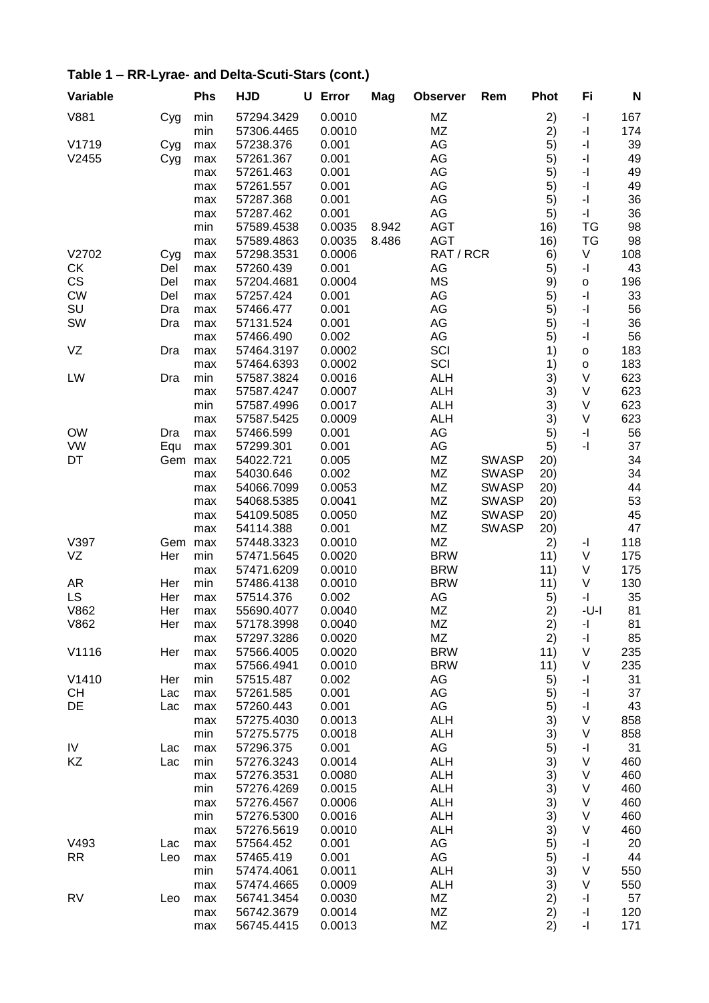| Variable  |     | Phs        | <b>HJD</b>               | U | Error            | Mag   | <b>Observer</b> | Rem          | <b>Phot</b> | Fi                                          | N        |
|-----------|-----|------------|--------------------------|---|------------------|-------|-----------------|--------------|-------------|---------------------------------------------|----------|
| V881      | Cyg | min        | 57294.3429               |   | 0.0010           |       | MZ              |              | 2)          | $\mathord{\text{-}} \mathord{\text{\rm l}}$ | 167      |
|           |     | min        | 57306.4465               |   | 0.0010           |       | MZ              |              | 2)          | -1                                          | 174      |
| V1719     | Cyg | max        | 57238.376                |   | 0.001            |       | AG              |              | 5)          | $\mathord{\text{-}} \mathord{\text{\rm l}}$ | 39       |
| V2455     | Cyg | max        | 57261.367                |   | 0.001            |       | AG              |              | 5)          | $\mathord{\text{-}} \mathord{\text{\rm l}}$ | 49       |
|           |     | max        | 57261.463                |   | 0.001            |       | AG              |              | 5)          | $\mathord{\text{-}} \mathord{\text{\rm l}}$ | 49       |
|           |     | max        | 57261.557                |   | 0.001            |       | AG              |              | 5)          | $\mathord{\text{-}} \mathord{\text{\rm l}}$ | 49       |
|           |     | max        | 57287.368                |   | 0.001            |       | AG              |              | 5)          | $\mathord{\text{-}} \mathord{\text{\rm l}}$ | 36       |
|           |     | max        | 57287.462                |   | 0.001            |       | AG              |              | 5)          | $\mathord{\text{-}} \mathord{\text{\rm l}}$ | 36       |
|           |     | min        | 57589.4538               |   | 0.0035           | 8.942 | <b>AGT</b>      |              | 16)         | TG                                          | 98       |
|           |     | max        | 57589.4863               |   | 0.0035           | 8.486 | <b>AGT</b>      |              | 16)         | TG                                          | 98       |
| V2702     | Cyg | max        | 57298.3531               |   | 0.0006           |       | RAT / RCR       |              | 6)          | V                                           | 108      |
| <b>CK</b> | Del | max        | 57260.439                |   | 0.001            |       | AG              |              | 5)          | $\mathord{\text{-}} \mathord{\text{\rm l}}$ | 43       |
| CS        | Del | max        | 57204.4681               |   | 0.0004           |       | <b>MS</b>       |              | 9)          | O                                           | 196      |
| <b>CW</b> | Del | max        | 57257.424                |   | 0.001            |       | AG              |              | 5)          | -1                                          | 33       |
| SU        | Dra | max        | 57466.477                |   | 0.001            |       | AG              |              | 5)          | $\mathord{\text{-}} \mathord{\text{\rm l}}$ | 56       |
| SW        | Dra | max        | 57131.524                |   | 0.001            |       | AG              |              | 5)          | $\overline{\phantom{a}}$                    | 36       |
|           |     | max        | 57466.490                |   | 0.002            |       | AG              |              | 5)          | $\overline{\phantom{a}}$                    | 56       |
| VZ        | Dra | max        | 57464.3197               |   | 0.0002           |       | SCI             |              | 1)          | O                                           | 183      |
|           |     | max        | 57464.6393               |   | 0.0002           |       | SCI             |              | 1)          | O                                           | 183      |
| LW        | Dra | min        | 57587.3824               |   | 0.0016           |       | <b>ALH</b>      |              | 3)          | V                                           | 623      |
|           |     | max        | 57587.4247               |   | 0.0007           |       | <b>ALH</b>      |              | 3)          | V                                           | 623      |
|           |     | min        | 57587.4996               |   | 0.0017           |       | <b>ALH</b>      |              | 3)          | V                                           | 623      |
|           |     | max        | 57587.5425               |   | 0.0009           |       | <b>ALH</b>      |              | 3)          | V                                           | 623      |
| <b>OW</b> | Dra | max        | 57466.599                |   | 0.001            |       | AG              |              | 5)          | -1                                          | 56       |
| <b>VW</b> | Equ | max        | 57299.301                |   | 0.001            |       | AG              |              | 5)          | -1                                          | 37       |
| DT        | Gem | max        | 54022.721                |   | 0.005            |       | MZ              | <b>SWASP</b> | 20)         |                                             | 34       |
|           |     | max        | 54030.646                |   | 0.002            |       | MZ              | <b>SWASP</b> | 20)         |                                             | 34       |
|           |     | max        | 54066.7099               |   | 0.0053           |       | MZ              | <b>SWASP</b> | (20)        |                                             | 44       |
|           |     | max        | 54068.5385               |   | 0.0041           |       | MZ              | <b>SWASP</b> | 20)         |                                             | 53       |
|           |     | max        | 54109.5085               |   | 0.0050           |       | MZ              | <b>SWASP</b> | 20)         |                                             | 45       |
|           |     | max        | 54114.388                |   | 0.001            |       | ΜZ              | <b>SWASP</b> | 20)         |                                             | 47       |
| V397      | Gem | max        | 57448.3323               |   | 0.0010           |       | MZ              |              | 2)          | -1                                          | 118      |
| VZ        | Her | min        | 57471.5645               |   | 0.0020           |       | <b>BRW</b>      |              | 11)         | V                                           | 175      |
|           |     | max        | 57471.6209               |   | 0.0010           |       | <b>BRW</b>      |              | 11)         | V                                           | 175      |
| <b>AR</b> | Her | min        | 57486.4138               |   | 0.0010           |       | <b>BRW</b>      |              | 11)         | V                                           | 130      |
| <b>LS</b> | Her | max        | 57514.376                |   | 0.002            |       | AG              |              | 5)          | $\mathord{\text{-}} \mathord{\text{\rm l}}$ | 35       |
| V862      | Her | max        | 55690.4077               |   | 0.0040           |       | ΜZ              |              | 2)          | -U-I                                        | 81       |
| V862      | Her | max        | 57178.3998<br>57297.3286 |   | 0.0040<br>0.0020 |       | MZ<br>MZ        |              | 2)<br>2)    | -1<br>-1                                    | 81<br>85 |
| V1116     | Her | max        | 57566.4005               |   | 0.0020           |       | <b>BRW</b>      |              | 11)         | V                                           | 235      |
|           |     | max<br>max | 57566.4941               |   | 0.0010           |       | <b>BRW</b>      |              | 11)         | V                                           | 235      |
| V1410     | Her | min        | 57515.487                |   | 0.002            |       | AG              |              | 5)          | -1                                          | 31       |
| <b>CH</b> | Lac | max        | 57261.585                |   | 0.001            |       | AG              |              | 5)          | -1                                          | 37       |
| DE        | Lac | max        | 57260.443                |   | 0.001            |       | AG              |              | 5)          | -1                                          | 43       |
|           |     | max        | 57275.4030               |   | 0.0013           |       | <b>ALH</b>      |              | 3)          | V                                           | 858      |
|           |     | min        | 57275.5775               |   | 0.0018           |       | <b>ALH</b>      |              | 3)          | V                                           | 858      |
| IV        | Lac | max        | 57296.375                |   | 0.001            |       | AG              |              | 5)          | -1                                          | 31       |
| KZ        | Lac | min        | 57276.3243               |   | 0.0014           |       | <b>ALH</b>      |              | 3)          | V                                           | 460      |
|           |     | max        | 57276.3531               |   | 0.0080           |       | <b>ALH</b>      |              | 3)          | V                                           | 460      |
|           |     | min        | 57276.4269               |   | 0.0015           |       | <b>ALH</b>      |              | 3)          | V                                           | 460      |
|           |     | max        | 57276.4567               |   | 0.0006           |       | <b>ALH</b>      |              | 3)          | V                                           | 460      |
|           |     | min        | 57276.5300               |   | 0.0016           |       | <b>ALH</b>      |              | 3)          | V                                           | 460      |
|           |     | max        | 57276.5619               |   | 0.0010           |       | <b>ALH</b>      |              | 3)          | V                                           | 460      |
| V493      | Lac | max        | 57564.452                |   | 0.001            |       | AG              |              | 5)          | -1                                          | 20       |
| <b>RR</b> | Leo | max        | 57465.419                |   | 0.001            |       | AG              |              | 5)          | -1                                          | 44       |
|           |     | min        | 57474.4061               |   | 0.0011           |       | <b>ALH</b>      |              | 3)          | V                                           | 550      |
|           |     | max        | 57474.4665               |   | 0.0009           |       | <b>ALH</b>      |              | 3)          | V                                           | 550      |
| <b>RV</b> | Leo | max        | 56741.3454               |   | 0.0030           |       | ΜZ              |              | 2)          | -1                                          | 57       |
|           |     | max        | 56742.3679               |   | 0.0014           |       | MZ              |              | 2)          | -1                                          | 120      |
|           |     | max        | 56745.4415               |   | 0.0013           |       | ΜZ              |              | 2)          | -1                                          | 171      |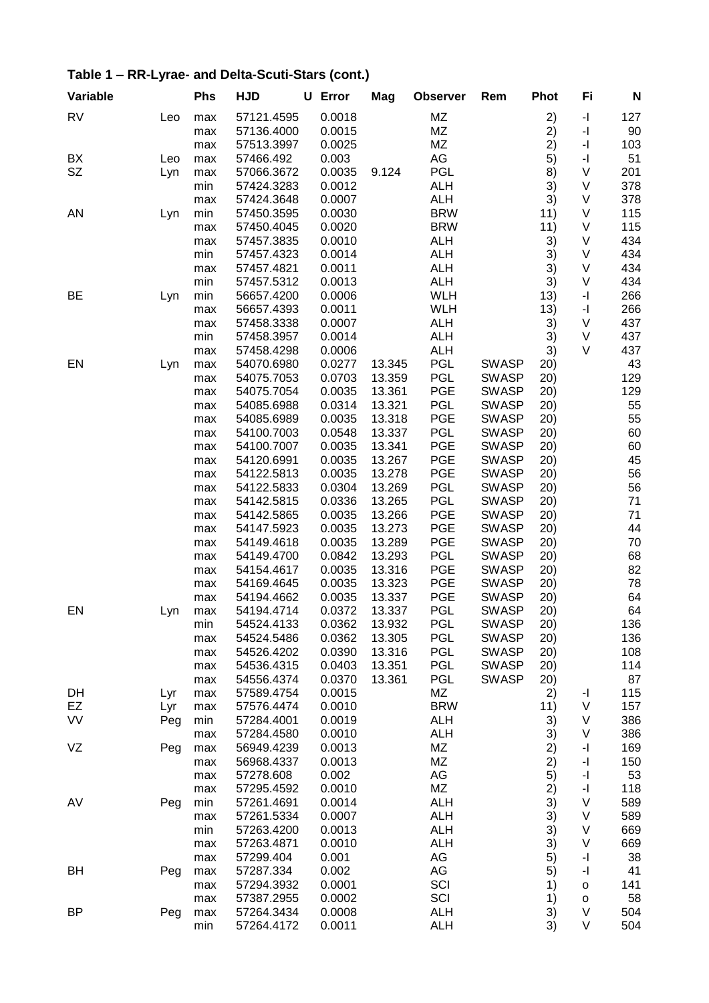| Variable  |     | <b>Phs</b> | <b>HJD</b>               | U Error          | Mag    | <b>Observer</b>          | Rem          | <b>Phot</b> | Fi                                          | N          |
|-----------|-----|------------|--------------------------|------------------|--------|--------------------------|--------------|-------------|---------------------------------------------|------------|
| <b>RV</b> | Leo | max        | 57121.4595               | 0.0018           |        | MZ                       |              | 2)          | -1                                          | 127        |
|           |     | max        | 57136.4000               | 0.0015           |        | ΜZ                       |              | 2)          | $\mathbf{-}$                                | 90         |
|           |     | max        | 57513.3997               | 0.0025           |        | MZ                       |              | 2)          | $\mathord{\text{-}} \mathord{\text{\rm l}}$ | 103        |
| BX        | Leo | max        | 57466.492                | 0.003            |        | AG                       |              | 5)          | -1                                          | 51         |
| SZ        | Lyn | max        | 57066.3672               | 0.0035           | 9.124  | <b>PGL</b>               |              | 8)          | V                                           | 201        |
|           |     | min        | 57424.3283               | 0.0012           |        | <b>ALH</b>               |              | 3)          | V                                           | 378        |
|           |     | max        | 57424.3648               | 0.0007           |        | <b>ALH</b>               |              | 3)          | V                                           | 378        |
| AN        | Lyn | min        | 57450.3595               | 0.0030           |        | <b>BRW</b>               |              | 11)         | V                                           | 115        |
|           |     | max        | 57450.4045               | 0.0020           |        | <b>BRW</b>               |              | 11)         | V                                           | 115        |
|           |     | max        | 57457.3835               | 0.0010           |        | <b>ALH</b>               |              | 3)          | V                                           | 434        |
|           |     | min        | 57457.4323               | 0.0014           |        | <b>ALH</b>               |              | 3)          | V                                           | 434        |
|           |     | max        | 57457.4821               | 0.0011           |        | <b>ALH</b>               |              | 3)          | V                                           | 434        |
| BE        |     | min        | 57457.5312               | 0.0013           |        | <b>ALH</b><br><b>WLH</b> |              | 3)          | V<br>-1                                     | 434<br>266 |
|           | Lyn | min        | 56657.4200               | 0.0006           |        | <b>WLH</b>               |              | 13)         | -1                                          | 266        |
|           |     | max        | 56657.4393<br>57458.3338 | 0.0011<br>0.0007 |        | <b>ALH</b>               |              | 13)         | V                                           | 437        |
|           |     | max<br>min | 57458.3957               | 0.0014           |        | <b>ALH</b>               |              | 3)<br>3)    | V                                           | 437        |
|           |     | max        | 57458.4298               | 0.0006           |        | <b>ALH</b>               |              | 3)          | V                                           | 437        |
| EN        | Lyn | max        | 54070.6980               | 0.0277           | 13.345 | <b>PGL</b>               | <b>SWASP</b> | 20)         |                                             | 43         |
|           |     | max        | 54075.7053               | 0.0703           | 13.359 | <b>PGL</b>               | <b>SWASP</b> | 20)         |                                             | 129        |
|           |     | max        | 54075.7054               | 0.0035           | 13.361 | PGE                      | <b>SWASP</b> | 20)         |                                             | 129        |
|           |     | max        | 54085.6988               | 0.0314           | 13.321 | <b>PGL</b>               | <b>SWASP</b> | 20)         |                                             | 55         |
|           |     | max        | 54085.6989               | 0.0035           | 13.318 | PGE                      | <b>SWASP</b> | 20)         |                                             | 55         |
|           |     | max        | 54100.7003               | 0.0548           | 13.337 | <b>PGL</b>               | <b>SWASP</b> | 20)         |                                             | 60         |
|           |     | max        | 54100.7007               | 0.0035           | 13.341 | <b>PGE</b>               | <b>SWASP</b> | 20)         |                                             | 60         |
|           |     | max        | 54120.6991               | 0.0035           | 13.267 | <b>PGE</b>               | <b>SWASP</b> | 20)         |                                             | 45         |
|           |     | max        | 54122.5813               | 0.0035           | 13.278 | <b>PGE</b>               | <b>SWASP</b> | 20)         |                                             | 56         |
|           |     | max        | 54122.5833               | 0.0304           | 13.269 | <b>PGL</b>               | <b>SWASP</b> | 20)         |                                             | 56         |
|           |     | max        | 54142.5815               | 0.0336           | 13.265 | <b>PGL</b>               | <b>SWASP</b> | 20)         |                                             | 71         |
|           |     | max        | 54142.5865               | 0.0035           | 13.266 | <b>PGE</b>               | <b>SWASP</b> | 20)         |                                             | 71         |
|           |     | max        | 54147.5923               | 0.0035           | 13.273 | <b>PGE</b>               | <b>SWASP</b> | 20)         |                                             | 44         |
|           |     | max        | 54149.4618               | 0.0035           | 13.289 | <b>PGE</b>               | <b>SWASP</b> | 20)         |                                             | 70         |
|           |     | max        | 54149.4700               | 0.0842           | 13.293 | <b>PGL</b>               | <b>SWASP</b> | 20)         |                                             | 68         |
|           |     | max        | 54154.4617               | 0.0035           | 13.316 | <b>PGE</b>               | <b>SWASP</b> | 20)         |                                             | 82         |
|           |     | max        | 54169.4645               | 0.0035           | 13.323 | <b>PGE</b>               | <b>SWASP</b> | 20)         |                                             | 78         |
|           |     | max        | 54194.4662               | 0.0035           | 13.337 | <b>PGE</b>               | <b>SWASP</b> | 20)         |                                             | 64         |
| EN        | Lyn | max        | 54194.4714               | 0.0372           | 13.337 | <b>PGL</b>               | <b>SWASP</b> | 20)         |                                             | 64         |
|           |     | min        | 54524.4133               | 0.0362           | 13.932 | PGL                      | <b>SWASP</b> | 20)         |                                             | 136        |
|           |     | max        | 54524.5486               | 0.0362           | 13.305 | <b>PGL</b>               | <b>SWASP</b> | 20)         |                                             | 136        |
|           |     | max        | 54526.4202               | 0.0390           | 13.316 | <b>PGL</b>               | <b>SWASP</b> | (20)        |                                             | 108        |
|           |     | max        | 54536.4315               | 0.0403           | 13.351 | <b>PGL</b>               | <b>SWASP</b> | 20)         |                                             | 114        |
|           |     | max        | 54556.4374               | 0.0370           | 13.361 | PGL                      | <b>SWASP</b> | 20)         |                                             | 87         |
| DH        | Lyr | max        | 57589.4754               | 0.0015           |        | ΜZ                       |              | 2)          | -1                                          | 115        |
| EZ        | Lyr | max        | 57576.4474               | 0.0010           |        | <b>BRW</b>               |              | 11)         | V                                           | 157        |
| VV        | Peg | min        | 57284.4001               | 0.0019           |        | <b>ALH</b>               |              | 3)          | V                                           | 386        |
|           |     | max        | 57284.4580               | 0.0010           |        | <b>ALH</b>               |              | 3)          | V                                           | 386        |
| VZ        | Peg | max        | 56949.4239<br>56968.4337 | 0.0013<br>0.0013 |        | ΜZ<br>ΜZ                 |              | 2)<br>2)    | -1<br>-1                                    | 169<br>150 |
|           |     | max        | 57278.608                | 0.002            |        | AG                       |              | 5)          | $\mathbf{I}$                                | 53         |
|           |     | max<br>max | 57295.4592               | 0.0010           |        | ΜZ                       |              | 2)          | -1                                          | 118        |
| AV        | Peg | min        | 57261.4691               | 0.0014           |        | <b>ALH</b>               |              | 3)          | V                                           | 589        |
|           |     | max        | 57261.5334               | 0.0007           |        | <b>ALH</b>               |              | 3)          | V                                           | 589        |
|           |     | min        | 57263.4200               | 0.0013           |        | <b>ALH</b>               |              | 3)          | V                                           | 669        |
|           |     | max        | 57263.4871               | 0.0010           |        | <b>ALH</b>               |              | 3)          | V                                           | 669        |
|           |     | max        | 57299.404                | 0.001            |        | AG                       |              | 5)          | -1                                          | 38         |
| BH        | Peg | max        | 57287.334                | 0.002            |        | AG                       |              | 5)          | -1                                          | 41         |
|           |     | max        | 57294.3932               | 0.0001           |        | SCI                      |              | 1)          | o                                           | 141        |
|           |     | max        | 57387.2955               | 0.0002           |        | SCI                      |              | 1)          | $\mathsf{o}$                                | 58         |
| <b>BP</b> | Peg | max        | 57264.3434               | 0.0008           |        | <b>ALH</b>               |              | 3)          | V                                           | 504        |
|           |     | min        | 57264.4172               | 0.0011           |        | <b>ALH</b>               |              | 3)          | V                                           | 504        |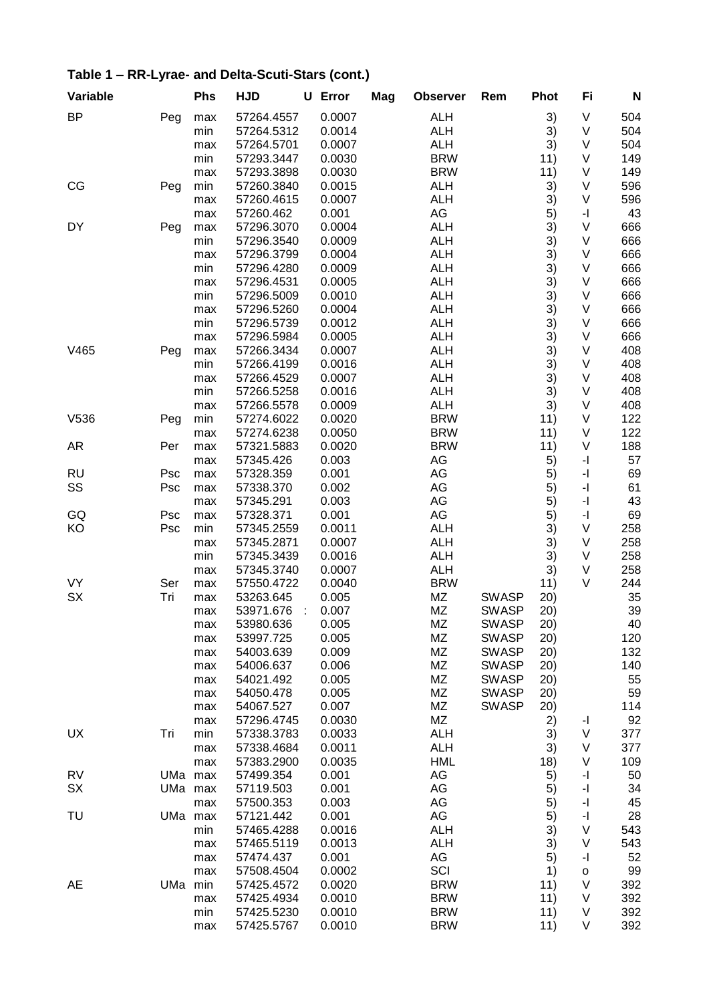| Variable  |     | <b>Phs</b> | <b>HJD</b> | U | Error  | Mag | <b>Observer</b>          | Rem          | <b>Phot</b> | Fi                                          | N   |
|-----------|-----|------------|------------|---|--------|-----|--------------------------|--------------|-------------|---------------------------------------------|-----|
| <b>BP</b> | Peg | max        | 57264.4557 |   | 0.0007 |     | <b>ALH</b>               |              | 3)          | V                                           | 504 |
|           |     | min        | 57264.5312 |   | 0.0014 |     | <b>ALH</b>               |              | 3)          | V                                           | 504 |
|           |     | max        | 57264.5701 |   | 0.0007 |     | <b>ALH</b>               |              | 3)          | V                                           | 504 |
|           |     | min        | 57293.3447 |   | 0.0030 |     | <b>BRW</b>               |              | 11)         | V                                           | 149 |
|           |     | max        | 57293.3898 |   | 0.0030 |     | <b>BRW</b>               |              | 11)         | V                                           | 149 |
| CG        | Peg | min        | 57260.3840 |   | 0.0015 |     | <b>ALH</b>               |              | 3)          | V                                           | 596 |
|           |     | max        | 57260.4615 |   | 0.0007 |     | <b>ALH</b>               |              | 3)          | V                                           | 596 |
|           |     | max        | 57260.462  |   | 0.001  |     | AG                       |              | 5)          | -1                                          | 43  |
| DY        | Peg | max        | 57296.3070 |   | 0.0004 |     | <b>ALH</b>               |              | 3)          | V                                           | 666 |
|           |     | min        | 57296.3540 |   | 0.0009 |     | <b>ALH</b>               |              | 3)          | V                                           | 666 |
|           |     | max        | 57296.3799 |   | 0.0004 |     | <b>ALH</b>               |              | 3)          | V                                           | 666 |
|           |     | min        | 57296.4280 |   | 0.0009 |     | <b>ALH</b>               |              | 3)          | V                                           | 666 |
|           |     | max        | 57296.4531 |   | 0.0005 |     | <b>ALH</b>               |              | 3)          | V                                           | 666 |
|           |     | min        | 57296.5009 |   | 0.0010 |     | <b>ALH</b>               |              | 3)          | V                                           | 666 |
|           |     | max        | 57296.5260 |   | 0.0004 |     | <b>ALH</b>               |              | 3)          | V                                           | 666 |
|           |     | min        | 57296.5739 |   | 0.0012 |     | <b>ALH</b>               |              | 3)          | V                                           | 666 |
|           |     | max        | 57296.5984 |   | 0.0005 |     | <b>ALH</b>               |              | 3)          | V                                           | 666 |
| V465      | Peg | max        | 57266.3434 |   | 0.0007 |     | <b>ALH</b>               |              | 3)          | V                                           | 408 |
|           |     | min        | 57266.4199 |   | 0.0016 |     | <b>ALH</b>               |              | 3)          | V                                           | 408 |
|           |     | max        | 57266.4529 |   | 0.0007 |     | <b>ALH</b>               |              | 3)          | V                                           | 408 |
|           |     | min        | 57266.5258 |   | 0.0016 |     | <b>ALH</b>               |              | 3)          | V                                           | 408 |
|           |     | max        | 57266.5578 |   | 0.0009 |     | <b>ALH</b>               |              | 3)          | V                                           | 408 |
| V536      | Peg | min        | 57274.6022 |   | 0.0020 |     | <b>BRW</b>               |              | 11)         | V                                           | 122 |
|           |     | max        | 57274.6238 |   | 0.0050 |     | <b>BRW</b>               |              | 11)         | V                                           | 122 |
| <b>AR</b> | Per | max        | 57321.5883 |   | 0.0020 |     | <b>BRW</b>               |              | 11)         | V                                           | 188 |
|           |     |            | 57345.426  |   | 0.003  |     | AG                       |              |             | -1                                          | 57  |
| <b>RU</b> | Psc | max<br>max | 57328.359  |   | 0.001  |     | AG                       |              | 5)<br>5)    | $\overline{\phantom{a}}$                    | 69  |
| SS        |     |            | 57338.370  |   | 0.002  |     | AG                       |              | 5)          | $\mathord{\text{-}} \mathord{\text{\rm l}}$ | 61  |
|           | Psc | max        | 57345.291  |   | 0.003  |     | AG                       |              | 5)          | $\mathord{\text{-}} \mathord{\text{\rm l}}$ | 43  |
|           |     | max        |            |   |        |     | AG                       |              |             |                                             |     |
| GQ        | Psc | max        | 57328.371  |   | 0.001  |     |                          |              | 5)          | -1<br>V                                     | 69  |
| KO        | Psc | min        | 57345.2559 |   | 0.0011 |     | <b>ALH</b><br><b>ALH</b> |              | 3)          | V                                           | 258 |
|           |     | max        | 57345.2871 |   | 0.0007 |     |                          |              | 3)          | V                                           | 258 |
|           |     | min        | 57345.3439 |   | 0.0016 |     | <b>ALH</b>               |              | 3)          |                                             | 258 |
|           |     | max        | 57345.3740 |   | 0.0007 |     | <b>ALH</b>               |              | 3)          | V                                           | 258 |
| <b>VY</b> | Ser | max        | 57550.4722 |   | 0.0040 |     | <b>BRW</b>               |              | 11)         | V                                           | 244 |
| <b>SX</b> | Tri | max        | 53263.645  |   | 0.005  |     | ΜZ                       | <b>SWASP</b> | 20)         |                                             | 35  |
|           |     | max        | 53971.676  | ÷ | 0.007  |     | ΜZ                       | <b>SWASP</b> | 20)         |                                             | 39  |
|           |     | max        | 53980.636  |   | 0.005  |     | MZ                       | <b>SWASP</b> | 20)         |                                             | 40  |
|           |     | max        | 53997.725  |   | 0.005  |     | ΜZ                       | <b>SWASP</b> | 20)         |                                             | 120 |
|           |     | max        | 54003.639  |   | 0.009  |     | MZ                       | <b>SWASP</b> | 20)         |                                             | 132 |
|           |     | max        | 54006.637  |   | 0.006  |     | MZ                       | <b>SWASP</b> | (20)        |                                             | 140 |
|           |     | max        | 54021.492  |   | 0.005  |     | ΜZ                       | <b>SWASP</b> | 20)         |                                             | 55  |
|           |     | max        | 54050.478  |   | 0.005  |     | ΜZ                       | <b>SWASP</b> | 20)         |                                             | 59  |
|           |     | max        | 54067.527  |   | 0.007  |     | ΜZ                       | <b>SWASP</b> | 20)         |                                             | 114 |
|           |     | max        | 57296.4745 |   | 0.0030 |     | MZ                       |              | 2)          | H,                                          | 92  |
| UX        | Tri | min        | 57338.3783 |   | 0.0033 |     | <b>ALH</b>               |              | 3)          | V                                           | 377 |
|           |     | max        | 57338.4684 |   | 0.0011 |     | <b>ALH</b>               |              | 3)          | V                                           | 377 |
|           |     | max        | 57383.2900 |   | 0.0035 |     | <b>HML</b>               |              | 18)         | V                                           | 109 |
| <b>RV</b> | UMa | max        | 57499.354  |   | 0.001  |     | AG                       |              | 5)          | -1                                          | 50  |
| SX        | UMa | max        | 57119.503  |   | 0.001  |     | AG                       |              | 5)          | $\mathord{\text{-}} \mathord{\text{\rm l}}$ | 34  |
|           |     | max        | 57500.353  |   | 0.003  |     | AG                       |              | 5)          | -1                                          | 45  |
| TU        | UMa | max        | 57121.442  |   | 0.001  |     | AG                       |              | 5)          | $\mathord{\text{-}} \mathord{\text{\rm l}}$ | 28  |
|           |     | min        | 57465.4288 |   | 0.0016 |     | <b>ALH</b>               |              | 3)          | V                                           | 543 |
|           |     | max        | 57465.5119 |   | 0.0013 |     | <b>ALH</b>               |              | 3)          | V                                           | 543 |
|           |     | max        | 57474.437  |   | 0.001  |     | AG                       |              | 5)          | -1                                          | 52  |
|           |     | max        | 57508.4504 |   | 0.0002 |     | SCI                      |              | 1)          | $\mathsf{o}$                                | 99  |
| <b>AE</b> | UMa | min        | 57425.4572 |   | 0.0020 |     | <b>BRW</b>               |              | 11)         | V                                           | 392 |
|           |     | max        | 57425.4934 |   | 0.0010 |     | <b>BRW</b>               |              | 11)         | V                                           | 392 |
|           |     | min        | 57425.5230 |   | 0.0010 |     | <b>BRW</b>               |              | 11)         | V                                           | 392 |
|           |     | max        | 57425.5767 |   | 0.0010 |     | <b>BRW</b>               |              | 11)         | V                                           | 392 |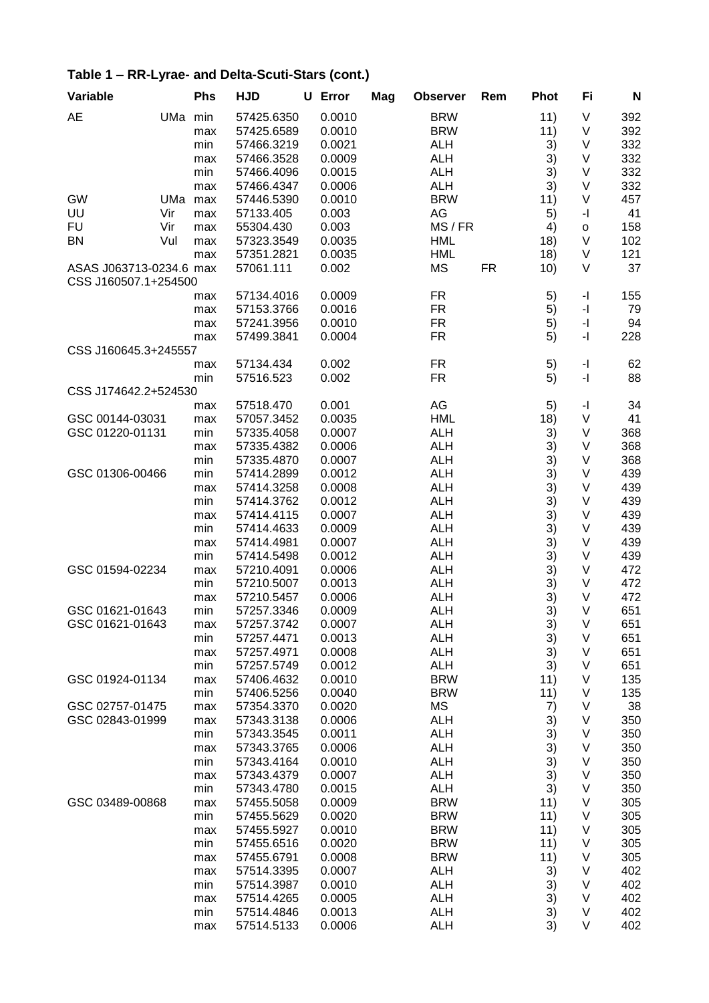|  | Table 1 - RR-Lyrae- and Delta-Scuti-Stars (cont.) |
|--|---------------------------------------------------|
|--|---------------------------------------------------|

| Variable                                        |         | Phs | <b>HJD</b> | U | Error  | Mag | <b>Observer</b> |       | Rem       | <b>Phot</b>      | Fi                                          | N   |
|-------------------------------------------------|---------|-----|------------|---|--------|-----|-----------------|-------|-----------|------------------|---------------------------------------------|-----|
| <b>AE</b>                                       | UMa min |     | 57425.6350 |   | 0.0010 |     | <b>BRW</b>      |       |           | 11)              | V                                           | 392 |
|                                                 |         | max | 57425.6589 |   | 0.0010 |     | <b>BRW</b>      |       |           | 11)              | V                                           | 392 |
|                                                 |         | min | 57466.3219 |   | 0.0021 |     | <b>ALH</b>      |       |           | 3)               | V                                           | 332 |
|                                                 |         | max | 57466.3528 |   | 0.0009 |     | <b>ALH</b>      |       |           | 3)               | V                                           | 332 |
|                                                 |         | min | 57466.4096 |   | 0.0015 |     | <b>ALH</b>      |       |           | 3)               | V                                           | 332 |
|                                                 |         | max | 57466.4347 |   | 0.0006 |     | <b>ALH</b>      |       |           | 3)               | V                                           | 332 |
| <b>GW</b>                                       | UMa     | max | 57446.5390 |   | 0.0010 |     | <b>BRW</b>      |       |           | 11)              | V                                           | 457 |
| UU                                              | Vir     | max | 57133.405  |   | 0.003  |     | AG              |       |           | 5)               | -1                                          | 41  |
| <b>FU</b>                                       | Vir     | max | 55304.430  |   | 0.003  |     |                 | MS/FR |           | 4)               | $\mathsf{o}$                                | 158 |
| <b>BN</b>                                       | Vul     | max | 57323.3549 |   | 0.0035 |     | <b>HML</b>      |       |           | 18)              | V                                           | 102 |
|                                                 |         | max | 57351.2821 |   | 0.0035 |     | <b>HML</b>      |       |           | 18)              | V                                           | 121 |
| ASAS J063713-0234.6 max<br>CSS J160507.1+254500 |         |     | 57061.111  |   | 0.002  |     | <b>MS</b>       |       | <b>FR</b> | 10)              | $\vee$                                      | 37  |
|                                                 |         | max | 57134.4016 |   | 0.0009 |     | FR              |       |           | 5)               | -1                                          | 155 |
|                                                 |         | max | 57153.3766 |   | 0.0016 |     | <b>FR</b>       |       |           | 5)               | $\mathord{\text{-}} \mathord{\text{\rm l}}$ | 79  |
|                                                 |         | max | 57241.3956 |   | 0.0010 |     | <b>FR</b>       |       |           | 5)               | $\mathord{\text{-}} \mathord{\text{\rm l}}$ | 94  |
|                                                 |         | max | 57499.3841 |   | 0.0004 |     | <b>FR</b>       |       |           | 5)               | $\mathord{\text{-}} \mathord{\text{\rm l}}$ | 228 |
| CSS J160645.3+245557                            |         |     |            |   |        |     |                 |       |           |                  |                                             |     |
|                                                 |         | max | 57134.434  |   | 0.002  |     | FR              |       |           | 5)               | -1                                          | 62  |
| CSS J174642.2+524530                            |         | min | 57516.523  |   | 0.002  |     | <b>FR</b>       |       |           | 5)               | -1                                          | 88  |
|                                                 |         | max | 57518.470  |   | 0.001  |     | AG              |       |           | 5)               | -1                                          | 34  |
| GSC 00144-03031                                 |         | max | 57057.3452 |   | 0.0035 |     | <b>HML</b>      |       |           | 18)              | V                                           | 41  |
| GSC 01220-01131                                 |         | min | 57335.4058 |   | 0.0007 |     | <b>ALH</b>      |       |           | 3)               | V                                           | 368 |
|                                                 |         | max | 57335.4382 |   | 0.0006 |     | <b>ALH</b>      |       |           | 3)               | V                                           | 368 |
|                                                 |         | min | 57335.4870 |   | 0.0007 |     | <b>ALH</b>      |       |           | 3)               | V                                           | 368 |
| GSC 01306-00466                                 |         | min | 57414.2899 |   | 0.0012 |     | <b>ALH</b>      |       |           | 3)               | V                                           | 439 |
|                                                 |         | max | 57414.3258 |   | 0.0008 |     | <b>ALH</b>      |       |           | 3)               | V                                           | 439 |
|                                                 |         | min | 57414.3762 |   | 0.0012 |     | <b>ALH</b>      |       |           | 3)               | V                                           | 439 |
|                                                 |         | max | 57414.4115 |   | 0.0007 |     | <b>ALH</b>      |       |           | 3)               | V                                           | 439 |
|                                                 |         | min | 57414.4633 |   | 0.0009 |     | <b>ALH</b>      |       |           | 3)               | V                                           | 439 |
|                                                 |         | max | 57414.4981 |   | 0.0007 |     | <b>ALH</b>      |       |           | 3)               | V                                           | 439 |
|                                                 |         | min | 57414.5498 |   | 0.0012 |     | <b>ALH</b>      |       |           | 3)               | V                                           | 439 |
| GSC 01594-02234                                 |         | max | 57210.4091 |   | 0.0006 |     | <b>ALH</b>      |       |           | 3)               | V                                           | 472 |
|                                                 |         | min | 57210.5007 |   | 0.0013 |     | <b>ALH</b>      |       |           | 3)               | V                                           | 472 |
|                                                 |         | max | 57210.5457 |   | 0.0006 |     | <b>ALH</b>      |       |           | 3)               | V                                           | 472 |
| GSC 01621-01643                                 |         | min | 57257.3346 |   | 0.0009 |     | <b>ALH</b>      |       |           | 3)               | V                                           | 651 |
| GSC 01621-01643                                 |         | max | 57257.3742 |   | 0.0007 |     | <b>ALH</b>      |       |           | 3)               | V                                           | 651 |
|                                                 |         | min | 57257.4471 |   | 0.0013 |     | <b>ALH</b>      |       |           | 3)               | V                                           | 651 |
|                                                 |         | max | 57257.4971 |   | 0.0008 |     | <b>ALH</b>      |       |           | 3)               | $\vee$                                      | 651 |
|                                                 |         | min | 57257.5749 |   | 0.0012 |     | <b>ALH</b>      |       |           | 3)               | $\vee$                                      | 651 |
| GSC 01924-01134                                 |         | max | 57406.4632 |   | 0.0010 |     | <b>BRW</b>      |       |           | 11)              | V                                           | 135 |
|                                                 |         | min | 57406.5256 |   | 0.0040 |     | <b>BRW</b>      |       |           | 11)              | V                                           | 135 |
| GSC 02757-01475                                 |         | max | 57354.3370 |   | 0.0020 |     | MS              |       |           | 7)               | V                                           | 38  |
| GSC 02843-01999                                 |         | max | 57343.3138 |   | 0.0006 |     | <b>ALH</b>      |       |           | 3)               | V                                           | 350 |
|                                                 |         | min | 57343.3545 |   | 0.0011 |     | <b>ALH</b>      |       |           | 3)               | V                                           | 350 |
|                                                 |         | max | 57343.3765 |   | 0.0006 |     | <b>ALH</b>      |       |           | 3)               | V                                           | 350 |
|                                                 |         | min | 57343.4164 |   | 0.0010 |     | <b>ALH</b>      |       |           | $\overline{3}$ ) | V                                           | 350 |
|                                                 |         | max | 57343.4379 |   | 0.0007 |     | <b>ALH</b>      |       |           | 3)               | V                                           | 350 |
|                                                 |         | min | 57343.4780 |   | 0.0015 |     | <b>ALH</b>      |       |           | 3)               | V                                           | 350 |
| GSC 03489-00868                                 |         | max | 57455.5058 |   | 0.0009 |     | <b>BRW</b>      |       |           | 11)              | V                                           | 305 |
|                                                 |         | min | 57455.5629 |   | 0.0020 |     | <b>BRW</b>      |       |           | 11)              | V                                           | 305 |
|                                                 |         | max | 57455.5927 |   | 0.0010 |     | <b>BRW</b>      |       |           | 11)              | V                                           | 305 |
|                                                 |         | min | 57455.6516 |   | 0.0020 |     | <b>BRW</b>      |       |           | 11)              | V                                           | 305 |
|                                                 |         | max | 57455.6791 |   | 0.0008 |     | <b>BRW</b>      |       |           | 11)              | V                                           | 305 |
|                                                 |         | max | 57514.3395 |   | 0.0007 |     | <b>ALH</b>      |       |           | 3)               | V                                           | 402 |
|                                                 |         | min | 57514.3987 |   | 0.0010 |     | <b>ALH</b>      |       |           | 3)               | V                                           | 402 |
|                                                 |         | max | 57514.4265 |   | 0.0005 |     | <b>ALH</b>      |       |           | 3)               | V                                           | 402 |
|                                                 |         | min | 57514.4846 |   | 0.0013 |     | <b>ALH</b>      |       |           | 3)               | V                                           | 402 |
|                                                 |         | max | 57514.5133 |   | 0.0006 |     | <b>ALH</b>      |       |           | 3)               | V                                           | 402 |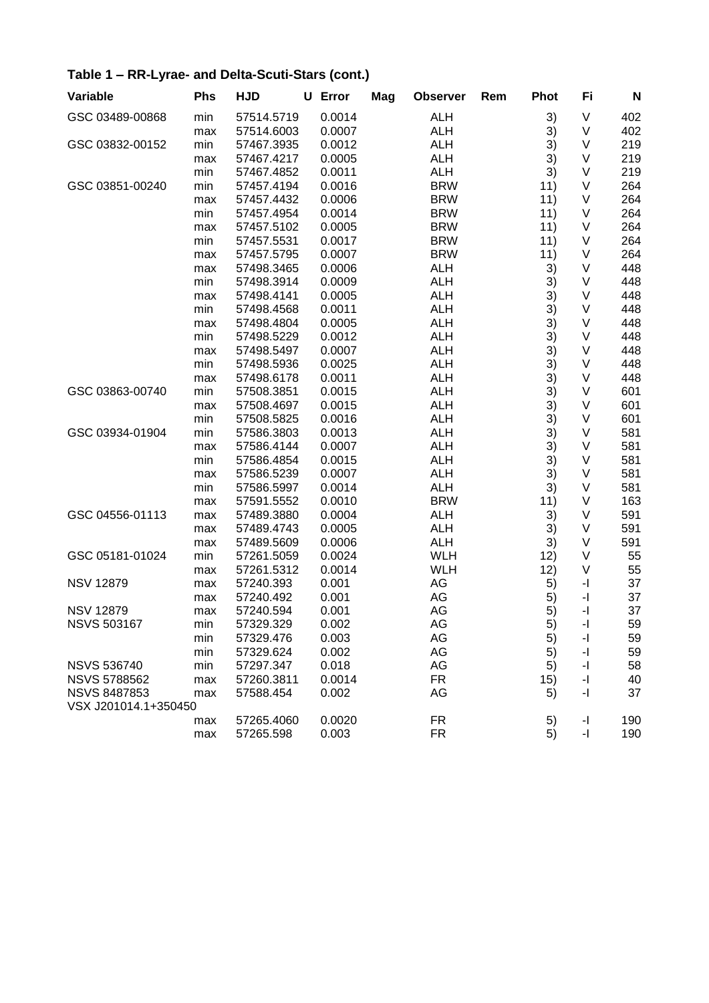| Variable             | <b>Phs</b> | <b>HJD</b> | U Error | Mag | <b>Observer</b> | Rem | <b>Phot</b> | Fi                       | N   |
|----------------------|------------|------------|---------|-----|-----------------|-----|-------------|--------------------------|-----|
| GSC 03489-00868      | min        | 57514.5719 | 0.0014  |     | <b>ALH</b>      |     | 3)          | V                        | 402 |
|                      | max        | 57514.6003 | 0.0007  |     | <b>ALH</b>      |     | 3)          | V                        | 402 |
| GSC 03832-00152      | min        | 57467.3935 | 0.0012  |     | <b>ALH</b>      |     | 3)          | V                        | 219 |
|                      | max        | 57467.4217 | 0.0005  |     | <b>ALH</b>      |     | 3)          | V                        | 219 |
|                      | min        | 57467.4852 | 0.0011  |     | <b>ALH</b>      |     | 3)          | V                        | 219 |
| GSC 03851-00240      | min        | 57457.4194 | 0.0016  |     | <b>BRW</b>      |     | 11)         | V                        | 264 |
|                      | max        | 57457.4432 | 0.0006  |     | <b>BRW</b>      |     | 11)         | V                        | 264 |
|                      | min        | 57457.4954 | 0.0014  |     | <b>BRW</b>      |     | 11)         | V                        | 264 |
|                      | max        | 57457.5102 | 0.0005  |     | <b>BRW</b>      |     | 11)         | V                        | 264 |
|                      | min        | 57457.5531 | 0.0017  |     | <b>BRW</b>      |     | 11)         | V                        | 264 |
|                      | max        | 57457.5795 | 0.0007  |     | <b>BRW</b>      |     | 11)         | V                        | 264 |
|                      | max        | 57498.3465 | 0.0006  |     | ALH             |     | 3)          | V                        | 448 |
|                      | min        | 57498.3914 | 0.0009  |     | <b>ALH</b>      |     | 3)          | V                        | 448 |
|                      | max        | 57498.4141 | 0.0005  |     | <b>ALH</b>      |     | 3)          | V                        | 448 |
|                      | min        | 57498.4568 | 0.0011  |     | <b>ALH</b>      |     | 3)          | V                        | 448 |
|                      | max        | 57498.4804 | 0.0005  |     | <b>ALH</b>      |     | 3)          | V                        | 448 |
|                      | min        | 57498.5229 | 0.0012  |     | <b>ALH</b>      |     | 3)          | V                        | 448 |
|                      | max        | 57498.5497 | 0.0007  |     | <b>ALH</b>      |     | 3)          | V                        | 448 |
|                      | min        | 57498.5936 | 0.0025  |     | <b>ALH</b>      |     | 3)          | V                        | 448 |
|                      | max        | 57498.6178 | 0.0011  |     | <b>ALH</b>      |     | 3)          | V                        | 448 |
| GSC 03863-00740      | min        | 57508.3851 | 0.0015  |     | <b>ALH</b>      |     | 3)          | V                        | 601 |
|                      | max        | 57508.4697 | 0.0015  |     | <b>ALH</b>      |     | 3)          | V                        | 601 |
|                      | min        | 57508.5825 | 0.0016  |     | <b>ALH</b>      |     | 3)          | V                        | 601 |
| GSC 03934-01904      | min        | 57586.3803 | 0.0013  |     | ALH             |     | 3)          | V                        | 581 |
|                      | max        | 57586.4144 | 0.0007  |     | <b>ALH</b>      |     | 3)          | V                        | 581 |
|                      | min        | 57586.4854 | 0.0015  |     | <b>ALH</b>      |     | 3)          | V                        | 581 |
|                      | max        | 57586.5239 | 0.0007  |     | <b>ALH</b>      |     | 3)          | V                        | 581 |
|                      | min        | 57586.5997 | 0.0014  |     | <b>ALH</b>      |     | 3)          | V                        | 581 |
|                      | max        | 57591.5552 | 0.0010  |     | <b>BRW</b>      |     | 11)         | V                        | 163 |
| GSC 04556-01113      | max        | 57489.3880 | 0.0004  |     | <b>ALH</b>      |     | 3)          | V                        | 591 |
|                      | max        | 57489.4743 | 0.0005  |     | <b>ALH</b>      |     | 3)          | V                        | 591 |
|                      | max        | 57489.5609 | 0.0006  |     | <b>ALH</b>      |     | 3)          | V                        | 591 |
| GSC 05181-01024      | min        | 57261.5059 | 0.0024  |     | <b>WLH</b>      |     | 12)         | V                        | 55  |
|                      | max        | 57261.5312 | 0.0014  |     | <b>WLH</b>      |     | 12)         | V                        | 55  |
| <b>NSV 12879</b>     | max        | 57240.393  | 0.001   |     | AG              |     | 5)          | -1                       | 37  |
|                      | max        | 57240.492  | 0.001   |     | AG              |     | 5)          | $\overline{\phantom{a}}$ | 37  |
| <b>NSV 12879</b>     | max        | 57240.594  | 0.001   |     | AG              |     | 5)          | -1                       | 37  |
| <b>NSVS 503167</b>   | min        | 57329.329  | 0.002   |     | AG              |     | 5)          | -1                       | 59  |
|                      | min        | 57329.476  | 0.003   |     | AG              |     | 5)          | -1                       | 59  |
|                      | min        | 57329.624  | 0.002   |     | AG              |     | 5)          | -1                       | 59  |
| <b>NSVS 536740</b>   | min        | 57297.347  | 0.018   |     | AG              |     | 5)          | -1                       | 58  |
| <b>NSVS 5788562</b>  | max        | 57260.3811 | 0.0014  |     | <b>FR</b>       |     | 15)         | -1                       | 40  |
| <b>NSVS 8487853</b>  | max        | 57588.454  | 0.002   |     | AG              |     | 5)          | -1                       | 37  |
| VSX J201014.1+350450 |            |            |         |     |                 |     |             |                          |     |
|                      | max        | 57265.4060 | 0.0020  |     | FR              |     | 5)          | -1                       | 190 |
|                      | max        | 57265.598  | 0.003   |     | <b>FR</b>       |     | 5)          | -1                       | 190 |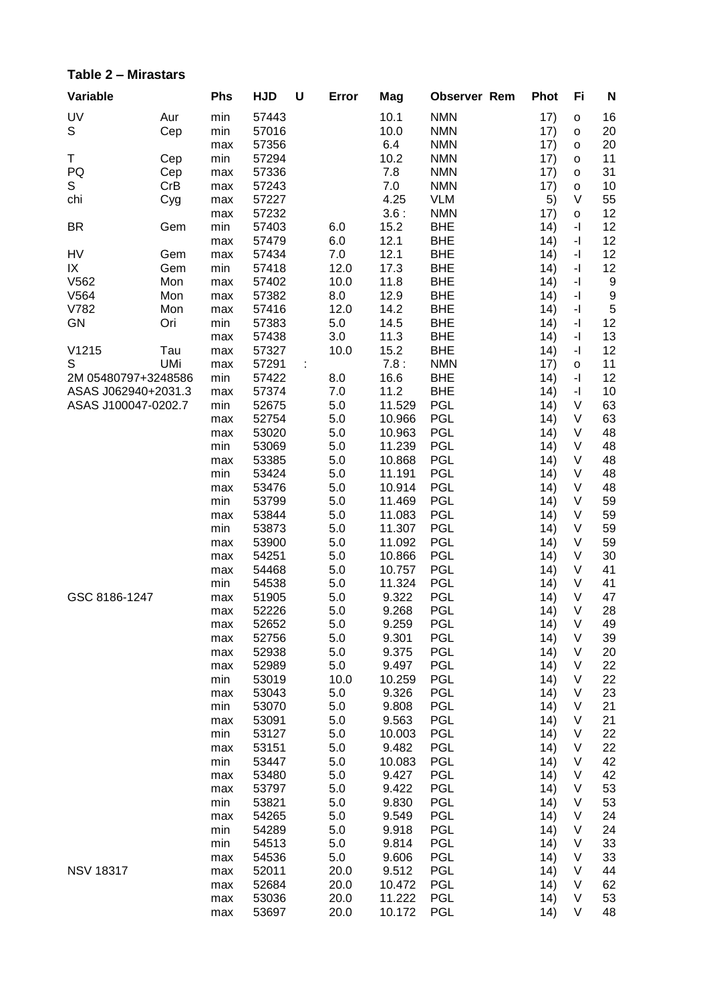#### Table 2 - Mirastars

| Variable            |            | Phs        | <b>HJD</b>     | U | Error      | Mag            | <b>Observer Rem</b>      | <b>Phot</b>  | Fi                                          | N                |
|---------------------|------------|------------|----------------|---|------------|----------------|--------------------------|--------------|---------------------------------------------|------------------|
| UV                  | Aur        | min        | 57443          |   |            | 10.1           | <b>NMN</b>               | 17)          | o                                           | 16               |
| S                   | Cep        | min        | 57016          |   |            | 10.0           | <b>NMN</b>               | 17)          | o                                           | 20               |
|                     |            | max        | 57356          |   |            | 6.4            | <b>NMN</b>               | 17)          | o                                           | 20               |
| Τ                   | Cep        | min        | 57294          |   |            | 10.2           | <b>NMN</b>               | 17)          | $\mathsf{o}\xspace$                         | 11               |
| PQ                  | Cep        | max        | 57336          |   |            | 7.8            | <b>NMN</b>               | 17)          | $\mathsf{o}\xspace$                         | 31               |
| S                   | CrB        | max        | 57243          |   |            | 7.0            | <b>NMN</b>               | 17)          | $\mathsf{o}$                                | 10               |
| chi                 | Cyg        | max        | 57227          |   |            | 4.25           | <b>VLM</b>               | 5)           | $\vee$                                      | 55               |
|                     |            | max        | 57232          |   |            | 3.6:           | <b>NMN</b>               | 17)          | $\mathsf{o}\xspace$                         | 12               |
| <b>BR</b>           | Gem        | min        | 57403          |   | 6.0        | 15.2           | <b>BHE</b>               | 14)          | $\mathbf{-} \Vert$                          | 12               |
|                     |            | max        | 57479          |   | 6.0        | 12.1           | <b>BHE</b>               | 14)          | -1                                          | 12               |
| HV                  | Gem        | max        | 57434          |   | 7.0        | 12.1           | <b>BHE</b>               | 14)          | -1                                          | 12               |
| IX                  | Gem        | min        | 57418          |   | 12.0       | 17.3           | <b>BHE</b>               | 14)          | -1                                          | 12               |
| V562                | Mon        | max        | 57402          |   | 10.0       | 11.8           | <b>BHE</b>               | 14)          | $\overline{\phantom{a}}$                    | 9                |
| V564                | Mon        | max        | 57382          |   | 8.0        | 12.9           | <b>BHE</b>               | 14)          | $\mathord{\text{-}} \mathord{\text{\rm l}}$ | $\boldsymbol{9}$ |
| V782                | Mon        | max        | 57416          |   | 12.0       | 14.2           | <b>BHE</b>               | 14)          | $\mathord{\text{-}} \mathord{\text{\rm l}}$ | $\sqrt{5}$       |
| <b>GN</b>           | Ori        | min        | 57383          |   | 5.0        | 14.5           | <b>BHE</b>               | 14)          | $\mathord{\text{-}} \mathord{\text{\rm l}}$ | 12               |
|                     |            | max        | 57438          |   | 3.0        | 11.3           | <b>BHE</b>               | 14)          | $\overline{\phantom{a}}$                    | 13               |
| V1215               | Tau        | max        | 57327          |   | 10.0       | 15.2           | <b>BHE</b>               | 14)          | $\mathord{\text{-}} \mathord{\text{\rm l}}$ | 12               |
| S                   | <b>UMi</b> | max        | 57291          | ÷ |            | 7.8:           | <b>NMN</b>               | 17)          | $\mathsf{o}$                                | 11               |
| 2M 05480797+3248586 |            | min        | 57422          |   | 8.0        | 16.6           | <b>BHE</b>               | 14)          | $\overline{\phantom{a}}$                    | 12               |
| ASAS J062940+2031.3 |            | max        | 57374          |   | 7.0        | 11.2<br>11.529 | <b>BHE</b>               | 14)          | $\mathbf{-} \Vert$<br>V                     | 10               |
| ASAS J100047-0202.7 |            | min        | 52675<br>52754 |   | 5.0<br>5.0 | 10.966         | <b>PGL</b><br><b>PGL</b> | 14)          | V                                           | 63<br>63         |
|                     |            | max        | 53020          |   | 5.0        | 10.963         | <b>PGL</b>               | 14)<br>14)   | V                                           | 48               |
|                     |            | max<br>min | 53069          |   | 5.0        | 11.239         | PGL                      | 14)          | V                                           | 48               |
|                     |            | max        | 53385          |   | 5.0        | 10.868         | PGL                      | 14)          | V                                           | 48               |
|                     |            | min        | 53424          |   | 5.0        | 11.191         | PGL                      | 14)          | V                                           | 48               |
|                     |            | max        | 53476          |   | 5.0        | 10.914         | <b>PGL</b>               | 14)          | V                                           | 48               |
|                     |            | min        | 53799          |   | 5.0        | 11.469         | <b>PGL</b>               | 14)          | V                                           | 59               |
|                     |            | max        | 53844          |   | 5.0        | 11.083         | <b>PGL</b>               | 14)          | V                                           | 59               |
|                     |            | min        | 53873          |   | 5.0        | 11.307         | <b>PGL</b>               | (14)         | $\vee$                                      | 59               |
|                     |            | max        | 53900          |   | 5.0        | 11.092         | <b>PGL</b>               | 14)          | V                                           | 59               |
|                     |            | max        | 54251          |   | 5.0        | 10.866         | PGL                      | 14)          | V                                           | 30               |
|                     |            | max        | 54468          |   | 5.0        | 10.757         | <b>PGL</b>               | 14)          | V                                           | 41               |
|                     |            | min        | 54538          |   | 5.0        | 11.324         | <b>PGL</b>               | 14)          | V                                           | 41               |
| GSC 8186-1247       |            | max        | 51905          |   | 5.0        | 9.322          | <b>PGL</b>               | 14)          | V                                           | 47               |
|                     |            | max        | 52226          |   | 5.0        | 9.268          | PGL                      | 14)          | V                                           | 28               |
|                     |            | max        | 52652          |   | 5.0        | 9.259          | <b>PGL</b>               | 14)          | $\mathsf{V}$                                | 49               |
|                     |            | max        | 52756          |   | 5.0        | 9.301          | PGL                      | (14)         | V                                           | 39               |
|                     |            | max        | 52938          |   | $5.0\,$    | 9.375          | <b>PGL</b>               | 14)          | V                                           | 20               |
|                     |            | max        | 52989          |   | 5.0        | 9.497          | <b>PGL</b>               | (14)         | V                                           | 22               |
|                     |            | min        | 53019          |   | 10.0       | 10.259         | <b>PGL</b>               | (14)         | V                                           | 22               |
|                     |            | max        | 53043          |   | 5.0        | 9.326          | <b>PGL</b>               | (14)         | V                                           | 23               |
|                     |            | min        | 53070          |   | 5.0        | 9.808          | <b>PGL</b>               | (14)         | V                                           | 21               |
|                     |            | max        | 53091          |   | 5.0        | 9.563          | <b>PGL</b>               | 14)          | V                                           | 21               |
|                     |            | min        | 53127          |   | 5.0        | 10.003         | <b>PGL</b>               | 14)          | V                                           | 22               |
|                     |            | max        | 53151          |   | 5.0        | 9.482          | <b>PGL</b>               | (14)         | V                                           | 22               |
|                     |            | min        | 53447          |   | 5.0        | 10.083         | <b>PGL</b>               | 14)          | V                                           | 42               |
|                     |            | max        | 53480          |   | 5.0        | 9.427          | <b>PGL</b>               | 14)          | V                                           | 42               |
|                     |            | max        | 53797          |   | 5.0        | 9.422          | <b>PGL</b>               | (14)         | V                                           | 53               |
|                     |            | min        | 53821          |   | 5.0        | 9.830          | <b>PGL</b>               | 14)          | V                                           | 53               |
|                     |            | max        | 54265          |   | 5.0        | 9.549          | <b>PGL</b><br><b>PGL</b> | (14)         | V<br>V                                      | 24<br>24         |
|                     |            | min        | 54289<br>54513 |   | 5.0<br>5.0 | 9.918<br>9.814 | <b>PGL</b>               | (14)<br>(14) | V                                           | 33               |
|                     |            | min<br>max | 54536          |   | 5.0        | 9.606          | <b>PGL</b>               | (14)         | $\vee$                                      | 33               |
| <b>NSV 18317</b>    |            | max        | 52011          |   | 20.0       | 9.512          | <b>PGL</b>               | (14)         | $\vee$                                      | 44               |
|                     |            | max        | 52684          |   | 20.0       | 10.472         | <b>PGL</b>               | 14)          | V                                           | 62               |
|                     |            | max        | 53036          |   | 20.0       | 11.222         | <b>PGL</b>               | (14)         | V                                           | 53               |
|                     |            | max        | 53697          |   | 20.0       | 10.172         | PGL                      | 14)          | V                                           | 48               |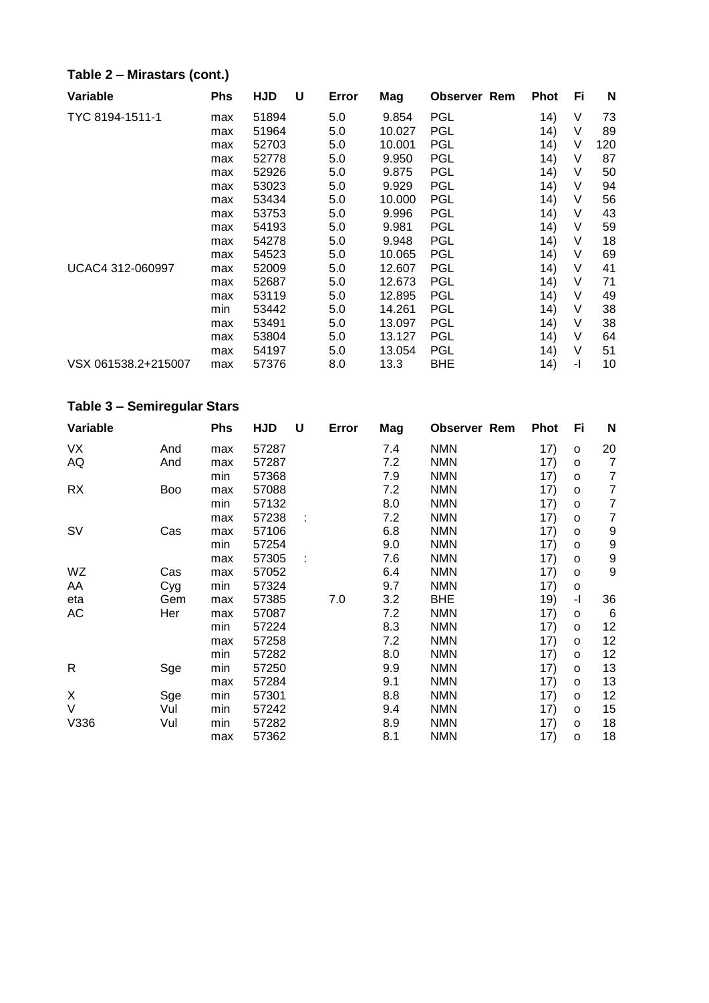#### **Table 2 – Mirastars (cont.)**

| Variable            | Phs | <b>HJD</b> | U | Error | Mag    | <b>Observer Rem</b> | <b>Phot</b> | Fi | N   |
|---------------------|-----|------------|---|-------|--------|---------------------|-------------|----|-----|
| TYC 8194-1511-1     | max | 51894      |   | 5.0   | 9.854  | <b>PGL</b>          | 14)         | ٧  | 73  |
|                     | max | 51964      |   | 5.0   | 10.027 | PGL                 | 14)         | V  | 89  |
|                     | max | 52703      |   | 5.0   | 10.001 | PGL                 | 14)         | V  | 120 |
|                     | max | 52778      |   | 5.0   | 9.950  | PGL                 | 14)         | V  | 87  |
|                     | max | 52926      |   | 5.0   | 9.875  | PGL                 | 14)         | V  | 50  |
|                     | max | 53023      |   | 5.0   | 9.929  | PGL                 | 14)         | V  | 94  |
|                     | max | 53434      |   | 5.0   | 10.000 | <b>PGL</b>          | 14)         | V  | 56  |
|                     | max | 53753      |   | 5.0   | 9.996  | PGL                 | 14)         | ٧  | 43  |
|                     | max | 54193      |   | 5.0   | 9.981  | PGL                 | 14)         | V  | 59  |
|                     | max | 54278      |   | 5.0   | 9.948  | PGL                 | 14)         | V  | 18  |
|                     | max | 54523      |   | 5.0   | 10.065 | PGL                 | 14)         | V  | 69  |
| UCAC4 312-060997    | max | 52009      |   | 5.0   | 12.607 | PGL                 | 14)         | V  | 41  |
|                     | max | 52687      |   | 5.0   | 12.673 | <b>PGL</b>          | 14)         | ٧  | 71  |
|                     | max | 53119      |   | 5.0   | 12.895 | PGL                 | 14)         | V  | 49  |
|                     | min | 53442      |   | 5.0   | 14.261 | PGL                 | 14)         | V  | 38  |
|                     | max | 53491      |   | 5.0   | 13.097 | <b>PGL</b>          | 14)         | ٧  | 38  |
|                     | max | 53804      |   | 5.0   | 13.127 | PGL                 | 14)         | V  | 64  |
|                     | max | 54197      |   | 5.0   | 13.054 | PGL                 | 14)         | V  | 51  |
| VSX 061538.2+215007 | max | 57376      |   | 8.0   | 13.3   | BHE                 | 14)         | -1 | 10  |

#### **Table 3 – Semiregular Stars**

| Variable  |            | <b>Phs</b> | <b>HJD</b> | U | Error | Mag | <b>Observer Rem</b> | <b>Phot</b> | Fi           | N              |
|-----------|------------|------------|------------|---|-------|-----|---------------------|-------------|--------------|----------------|
| VX        | And        | max        | 57287      |   |       | 7.4 | <b>NMN</b>          | 17)         | o            | 20             |
| AQ        | And        | max        | 57287      |   |       | 7.2 | <b>NMN</b>          | 17)         | $\circ$      | $\overline{7}$ |
|           |            | min        | 57368      |   |       | 7.9 | <b>NMN</b>          | 17)         | $\circ$      | 7              |
| <b>RX</b> | <b>Boo</b> | max        | 57088      |   |       | 7.2 | <b>NMN</b>          | 17)         | O            | 7              |
|           |            | min        | 57132      |   |       | 8.0 | <b>NMN</b>          | 17)         | o            | $\overline{7}$ |
|           |            | max        | 57238      | ÷ |       | 7.2 | <b>NMN</b>          | 17)         | $\circ$      | 7              |
| SV        | Cas        | max        | 57106      |   |       | 6.8 | <b>NMN</b>          | 17)         | $\mathsf{o}$ | 9              |
|           |            | min        | 57254      |   |       | 9.0 | <b>NMN</b>          | 17)         | $\circ$      | 9              |
|           |            | max        | 57305      |   |       | 7.6 | <b>NMN</b>          | 17)         | O            | 9              |
| WZ        | Cas        | max        | 57052      |   |       | 6.4 | <b>NMN</b>          | 17)         | o            | 9              |
| AA        | Cyg        | min        | 57324      |   |       | 9.7 | <b>NMN</b>          | 17)         | o            |                |
| eta       | Gem        | max        | 57385      |   | 7.0   | 3.2 | <b>BHE</b>          | 19)         | -1           | 36             |
| AC        | Her        | max        | 57087      |   |       | 7.2 | <b>NMN</b>          | 17)         | $\circ$      | 6              |
|           |            | min        | 57224      |   |       | 8.3 | <b>NMN</b>          | 17)         | $\circ$      | 12             |
|           |            | max        | 57258      |   |       | 7.2 | <b>NMN</b>          | 17)         | o            | 12             |
|           |            | min        | 57282      |   |       | 8.0 | <b>NMN</b>          | 17)         | $\circ$      | 12             |
| R         | Sge        | min        | 57250      |   |       | 9.9 | <b>NMN</b>          | 17)         | $\circ$      | 13             |
|           |            | max        | 57284      |   |       | 9.1 | <b>NMN</b>          | 17)         | O            | 13             |
| X         | Sge        | min        | 57301      |   |       | 8.8 | <b>NMN</b>          | 17)         | $\circ$      | 12             |
| V         | Vul        | min        | 57242      |   |       | 9.4 | <b>NMN</b>          | 17)         | $\circ$      | 15             |
| V336      | Vul        | min        | 57282      |   |       | 8.9 | <b>NMN</b>          | 17)         | $\circ$      | 18             |
|           |            | max        | 57362      |   |       | 8.1 | <b>NMN</b>          | 17)         | O            | 18             |